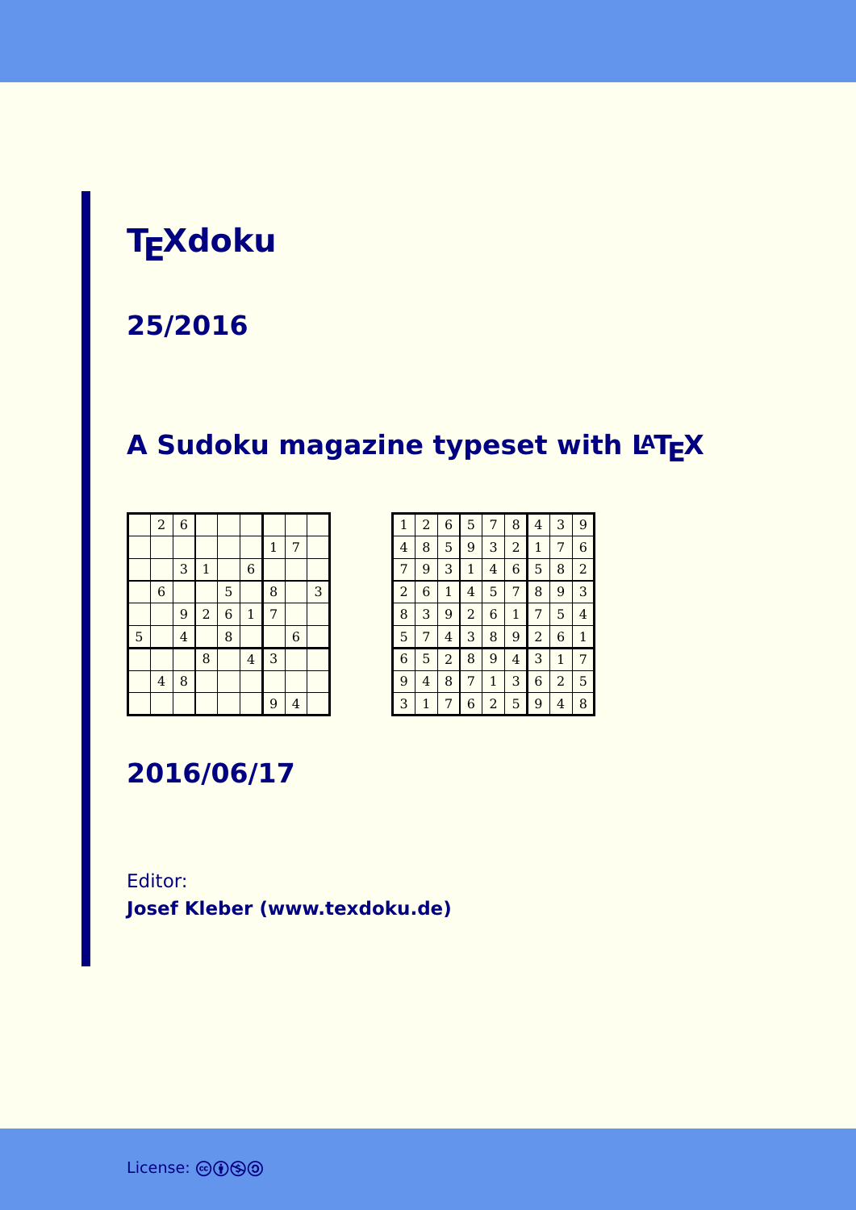## **TEXdoku**

#### **25/2016**

### **A Sudoku magazine typeset with LATEX**

|   | $\overline{a}$          | $\overline{6}$ |                |                |                |              |                |   |
|---|-------------------------|----------------|----------------|----------------|----------------|--------------|----------------|---|
|   |                         |                |                |                |                | $\mathbf{1}$ | 7              |   |
|   |                         | 3              | $\mathbf 1$    |                | $\,$ 6 $\,$    |              |                |   |
|   | $\,$ 6 $\,$             |                |                | 5              |                | 8            |                | 3 |
|   |                         | 9              | $\overline{a}$ | $\overline{6}$ | $\mathbf 1$    | 7            |                |   |
| 5 |                         | $\overline{4}$ |                | 8              |                |              | $\overline{6}$ |   |
|   |                         |                | 8              |                | $\overline{4}$ | 3            |                |   |
|   | $\overline{\mathbf{4}}$ | 8              |                |                |                |              |                |   |
|   |                         |                |                |                |                | 9            | $\overline{4}$ |   |

| 1              | $\overline{c}$ | 6            | 5              | 7 | 8            | 4              | 3            | 9              |
|----------------|----------------|--------------|----------------|---|--------------|----------------|--------------|----------------|
| 4              | 8              | 5            | 9              | 3 | 2            | 1              | 7            | 6              |
| 7              | 9              | 3            | $\mathbf{1}$   | 4 | 6            | 5              | 8            | $\overline{2}$ |
| $\overline{a}$ | 6              | $\mathbf{1}$ | 4              | 5 | 7            | 8              | 9            | 3              |
| 8              | 3              | 9            | $\overline{2}$ | 6 | $\mathbf{1}$ | 7              | 5            | 4              |
| 5              | 7              | 4            | 3              | 8 | 9            | $\overline{a}$ | 6            | $\mathbf{1}$   |
| 6              | 5              | 2            | 8              | 9 | 4            | 3              | $\mathbf{1}$ | 7              |
| 9              | 4              | 8            | 7              | 1 | 3            | 6              | 2            | 5              |
| 3              | 1              | 7            | 6              | 2 | 5            | 9              | 4            | 8              |

**2016/06/17**

#### Editor: **[Josef Kleber \(www.texdoku.de\)](mailto:texdoku@texdoku.de)**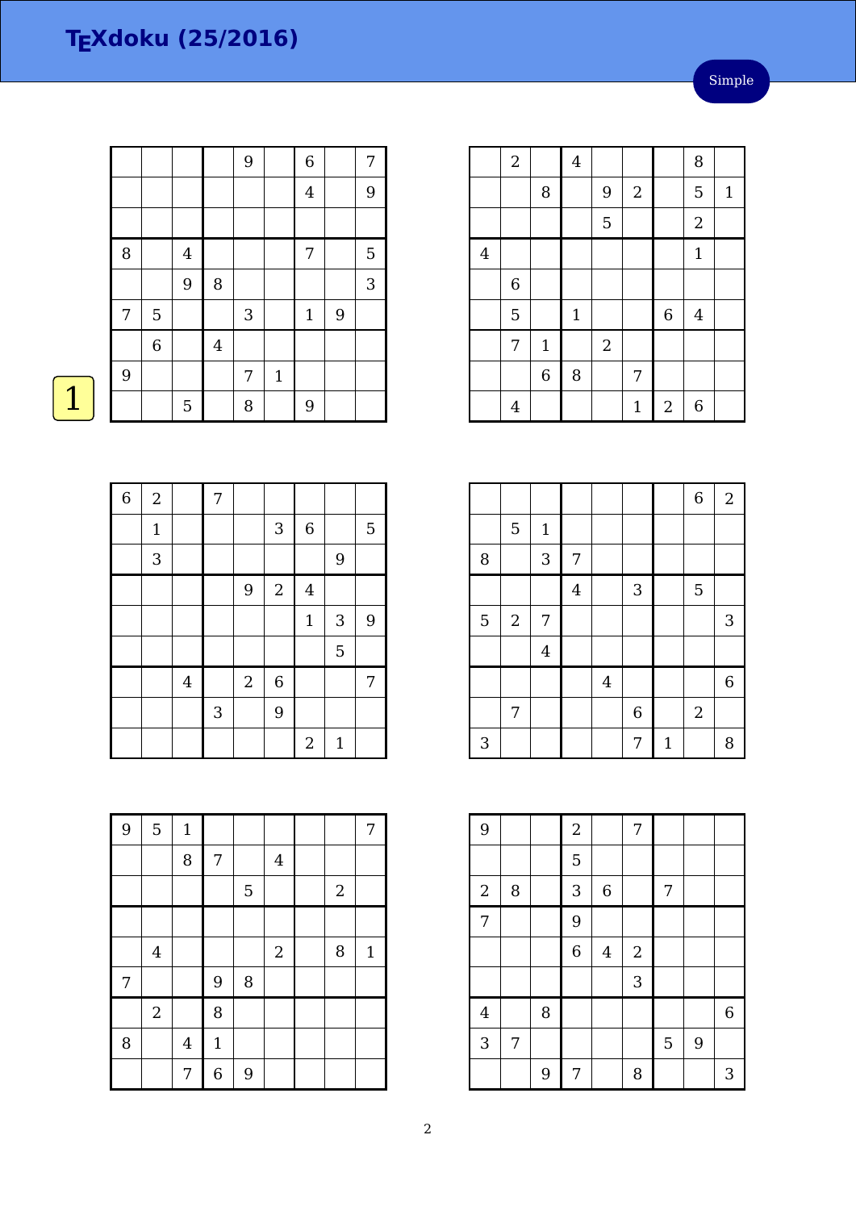|   |             |         |                         | 9          |       | $\boldsymbol{6}$ |   | 7              |
|---|-------------|---------|-------------------------|------------|-------|------------------|---|----------------|
|   |             |         |                         |            |       | $\overline{4}$   |   | 9              |
|   |             |         |                         |            |       |                  |   |                |
| 8 |             | $\bf 4$ |                         |            |       | 7                |   | $\overline{5}$ |
|   |             | 9       | 8                       |            |       |                  |   | 3              |
| 7 | $\mathbf 5$ |         |                         | $\sqrt{3}$ |       | $\mathbf{1}$     | 9 |                |
|   | $\,$ 6 $\,$ |         | $\overline{\mathbf{4}}$ |            |       |                  |   |                |
| 9 |             |         |                         | 7          | $1\,$ |                  |   |                |
|   |             | 5       |                         | 8          |       | 9                |   |                |



| $\overline{6}$ | $\overline{2}$ |                         | $\overline{7}$ |                |                |                         |              |                |
|----------------|----------------|-------------------------|----------------|----------------|----------------|-------------------------|--------------|----------------|
|                | $\mathbf{1}$   |                         |                |                | $\mathbf{3}$   | $\,$ 6 $\,$             |              | 5              |
|                | 3              |                         |                |                |                |                         | 9            |                |
|                |                |                         |                | 9              | $\sqrt{2}$     | $\overline{\mathbf{4}}$ |              |                |
|                |                |                         |                |                |                | $1\,$                   | $\sqrt{3}$   | $\overline{9}$ |
|                |                |                         |                |                |                |                         | 5            |                |
|                |                | $\overline{\mathbf{4}}$ |                | $\overline{2}$ | $\overline{6}$ |                         |              | 7              |
|                |                |                         | $\mathbf{3}$   |                | 9              |                         |              |                |
|                |                |                         |                |                |                | $\overline{2}$          | $\mathbf{1}$ |                |

| 9 | 5              | $\mathbf{1}$            |                |   |                |            | 7            |
|---|----------------|-------------------------|----------------|---|----------------|------------|--------------|
|   |                | 8                       | 7              |   | $\overline{4}$ |            |              |
|   |                |                         |                | 5 |                | $\sqrt{2}$ |              |
|   |                |                         |                |   |                |            |              |
|   | $\bf 4$        |                         |                |   | $\sqrt{2}$     | 8          | $\mathbf{1}$ |
| 7 |                |                         | 9              | 8 |                |            |              |
|   | $\overline{2}$ |                         | 8              |   |                |            |              |
| 8 |                | $\overline{\mathbf{4}}$ | $\mathbf 1$    |   |                |            |              |
|   |                | 7                       | $\overline{6}$ | 9 |                |            |              |

|                | $\boldsymbol{2}$ |                | $\bf 4$     |            |              |            | 8              |              |
|----------------|------------------|----------------|-------------|------------|--------------|------------|----------------|--------------|
|                |                  | 8              |             | 9          | $\sqrt{2}$   |            | 5              | $\mathbf{1}$ |
|                |                  |                |             | 5          |              |            | $\overline{a}$ |              |
| $\overline{4}$ |                  |                |             |            |              |            | $\mathbf{1}$   |              |
|                | $\,6$            |                |             |            |              |            |                |              |
|                | 5                |                | $\mathbf 1$ |            |              | $\,6\,$    | $\bf 4$        |              |
|                | 7                | $\mathbf 1$    |             | $\sqrt{2}$ |              |            |                |              |
|                |                  | $\overline{6}$ | 8           |            | 7            |            |                |              |
|                | $\overline{4}$   |                |             |            | $\mathbf{1}$ | $\sqrt{2}$ | 6              |              |

|                |            |             |                |                |             |              | $\overline{6}$ | $\boldsymbol{2}$ |
|----------------|------------|-------------|----------------|----------------|-------------|--------------|----------------|------------------|
|                | 5          | $\mathbf 1$ |                |                |             |              |                |                  |
| 8              |            | 3           | 7              |                |             |              |                |                  |
|                |            |             | $\overline{4}$ |                | 3           |              | 5              |                  |
| $\overline{5}$ | $\sqrt{2}$ | 7           |                |                |             |              |                | 3                |
|                |            | $\bf 4$     |                |                |             |              |                |                  |
|                |            |             |                | $\overline{4}$ |             |              |                | $\overline{6}$   |
|                | 7          |             |                |                | $\,$ 6 $\,$ |              | $\overline{2}$ |                  |
| 3              |            |             |                |                | 7           | $\mathbf{1}$ |                | 8                |

| 9              |   |   | $\overline{c}$ |                | 7          |   |   |                |
|----------------|---|---|----------------|----------------|------------|---|---|----------------|
|                |   |   | 5              |                |            |   |   |                |
| $\sqrt{2}$     | 8 |   | 3              | 6              |            | 7 |   |                |
| $\overline{7}$ |   |   | 9              |                |            |   |   |                |
|                |   |   | $\overline{6}$ | $\overline{4}$ | $\sqrt{2}$ |   |   |                |
|                |   |   |                |                | 3          |   |   |                |
| $\bf 4$        |   | 8 |                |                |            |   |   | $\overline{6}$ |
| 3              | 7 |   |                |                |            | 5 | 9 |                |
|                |   | 9 | 7              |                | 8          |   |   | 3              |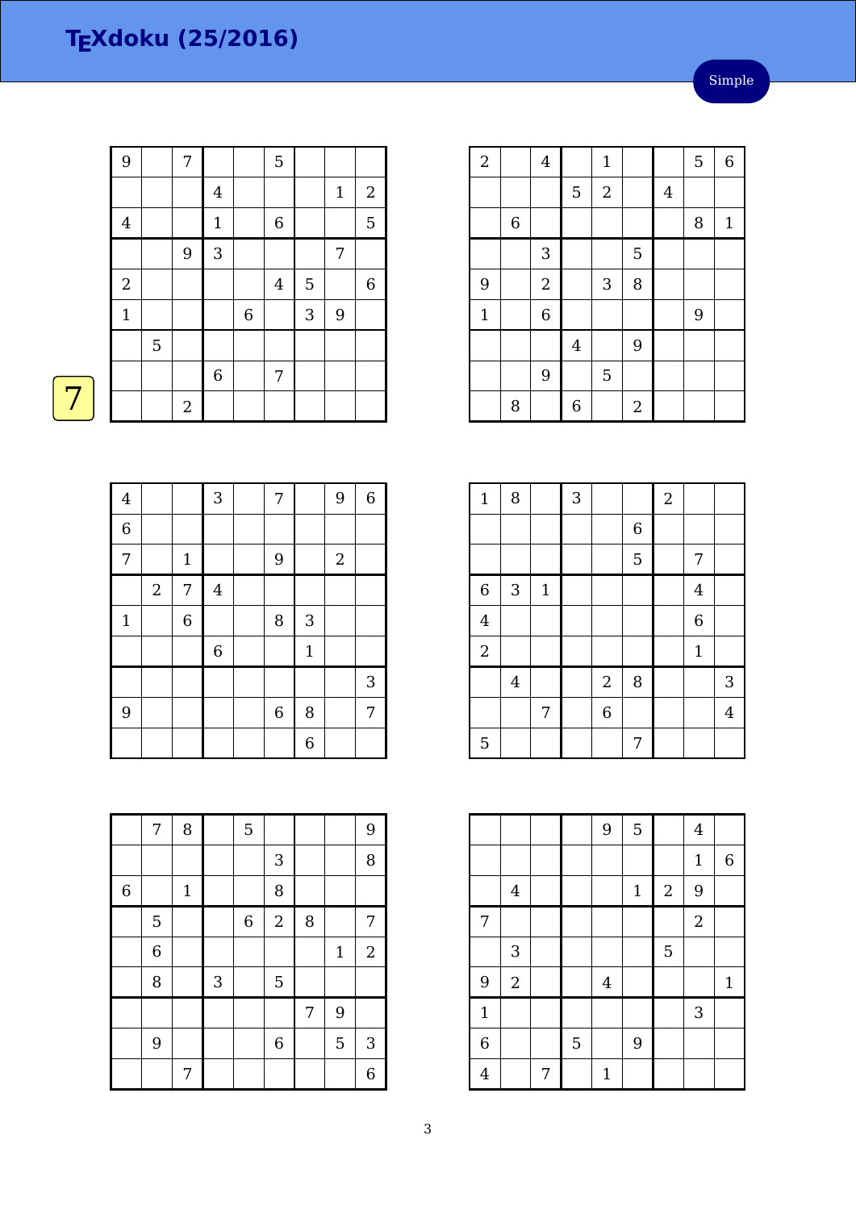| 9           |   | 7          |                |             | 5                |   |       |                  |
|-------------|---|------------|----------------|-------------|------------------|---|-------|------------------|
|             |   |            | $\overline{4}$ |             |                  |   | $1\,$ | $\boldsymbol{2}$ |
| $\bf 4$     |   |            | $\mathbf 1$    |             | $\boldsymbol{6}$ |   |       | $\overline{5}$   |
|             |   | 9          | 3              |             |                  |   | 7     |                  |
| $\sqrt{2}$  |   |            |                |             | $\overline{4}$   | 5 |       | $\,$ 6 $\,$      |
| $\mathbf 1$ |   |            |                | $\,$ 6 $\,$ |                  | 3 | 9     |                  |
|             | 5 |            |                |             |                  |   |       |                  |
|             |   |            | $\,$ 6 $\,$    |             | 7                |   |       |                  |
|             |   | $\sqrt{2}$ |                |             |                  |   |       |                  |



| $\overline{4}$ |                |             | $\overline{3}$   | 7                |                | 9          | $\,6\,$ |
|----------------|----------------|-------------|------------------|------------------|----------------|------------|---------|
| $\overline{6}$ |                |             |                  |                  |                |            |         |
| $\overline{7}$ |                | $1\,$       |                  | 9                |                | $\sqrt{2}$ |         |
|                | $\overline{2}$ | 7           | $\bf 4$          |                  |                |            |         |
| $\mathbf 1$    |                | $\,$ 6 $\,$ |                  | 8                | 3              |            |         |
|                |                |             | $\boldsymbol{6}$ |                  | $\mathbf 1$    |            |         |
|                |                |             |                  |                  |                |            | 3       |
| 9              |                |             |                  | $\boldsymbol{6}$ | 8              |            | 7       |
|                |                |             |                  |                  | $\overline{6}$ |            |         |

|             | 7 | 8           |              | 5                |                  |   |       | 9              |
|-------------|---|-------------|--------------|------------------|------------------|---|-------|----------------|
|             |   |             |              |                  | 3                |   |       | 8              |
| $\,$ 6 $\,$ |   | $\mathbf 1$ |              |                  | 8                |   |       |                |
|             | 5 |             |              | $\boldsymbol{6}$ | $\overline{c}$   | 8 |       | 7              |
|             | 6 |             |              |                  |                  |   | $1\,$ | $\sqrt{2}$     |
|             | 8 |             | $\mathbf{3}$ |                  | 5                |   |       |                |
|             |   |             |              |                  |                  | 7 | 9     |                |
|             | 9 |             |              |                  | $\boldsymbol{6}$ |   | 5     | 3              |
|             |   | 7           |              |                  |                  |   |       | $\overline{6}$ |

| $\overline{2}$ |             | $\overline{4}$ |                | $\mathbf{1}$     |            |         | 5                | $\overline{6}$ |
|----------------|-------------|----------------|----------------|------------------|------------|---------|------------------|----------------|
|                |             |                | 5              | $\boldsymbol{2}$ |            | $\bf 4$ |                  |                |
|                | $\,$ 6 $\,$ |                |                |                  |            |         | 8                | $\mathbf{1}$   |
|                |             | 3              |                |                  | 5          |         |                  |                |
| 9              |             | $\overline{c}$ |                | 3                | 8          |         |                  |                |
| $\mathbf 1$    |             | 6              |                |                  |            |         | $\boldsymbol{9}$ |                |
|                |             |                | $\overline{4}$ |                  | 9          |         |                  |                |
|                |             | 9              |                | 5                |            |         |                  |                |
|                | 8           |                | 6              |                  | $\sqrt{2}$ |         |                  |                |

| $\mathbf 1$    | 8              |             | 3 |                |                | $\sqrt{2}$ |                  |                |
|----------------|----------------|-------------|---|----------------|----------------|------------|------------------|----------------|
|                |                |             |   |                | $\overline{6}$ |            |                  |                |
|                |                |             |   |                | 5              |            | 7                |                |
| 6              | 3              | $\mathbf 1$ |   |                |                |            | $\overline{4}$   |                |
| $\overline{4}$ |                |             |   |                |                |            | $\boldsymbol{6}$ |                |
| $\sqrt{2}$     |                |             |   |                |                |            | $\mathbf{1}$     |                |
|                | $\overline{4}$ |             |   | $\sqrt{2}$     | 8              |            |                  | 3              |
|                |                | 7           |   | $\overline{6}$ |                |            |                  | $\overline{4}$ |
| 5              |                |             |   |                | 7              |            |                  |                |

|                |                |   |   | 9              | 5            |            | $\overline{4}$   |              |
|----------------|----------------|---|---|----------------|--------------|------------|------------------|--------------|
|                |                |   |   |                |              |            | $\mathbf 1$      | 6            |
|                | $\bf 4$        |   |   |                | $\mathbf{1}$ | $\sqrt{2}$ | 9                |              |
| 7              |                |   |   |                |              |            | $\boldsymbol{2}$ |              |
|                | $\sqrt{3}$     |   |   |                |              | 5          |                  |              |
| 9              | $\overline{2}$ |   |   | $\overline{4}$ |              |            |                  | $\mathbf{1}$ |
| $\mathbf{1}$   |                |   |   |                |              |            | 3                |              |
| $\overline{6}$ |                |   | 5 |                | 9            |            |                  |              |
| $\overline{4}$ |                | 7 |   | $\mathbf 1$    |              |            |                  |              |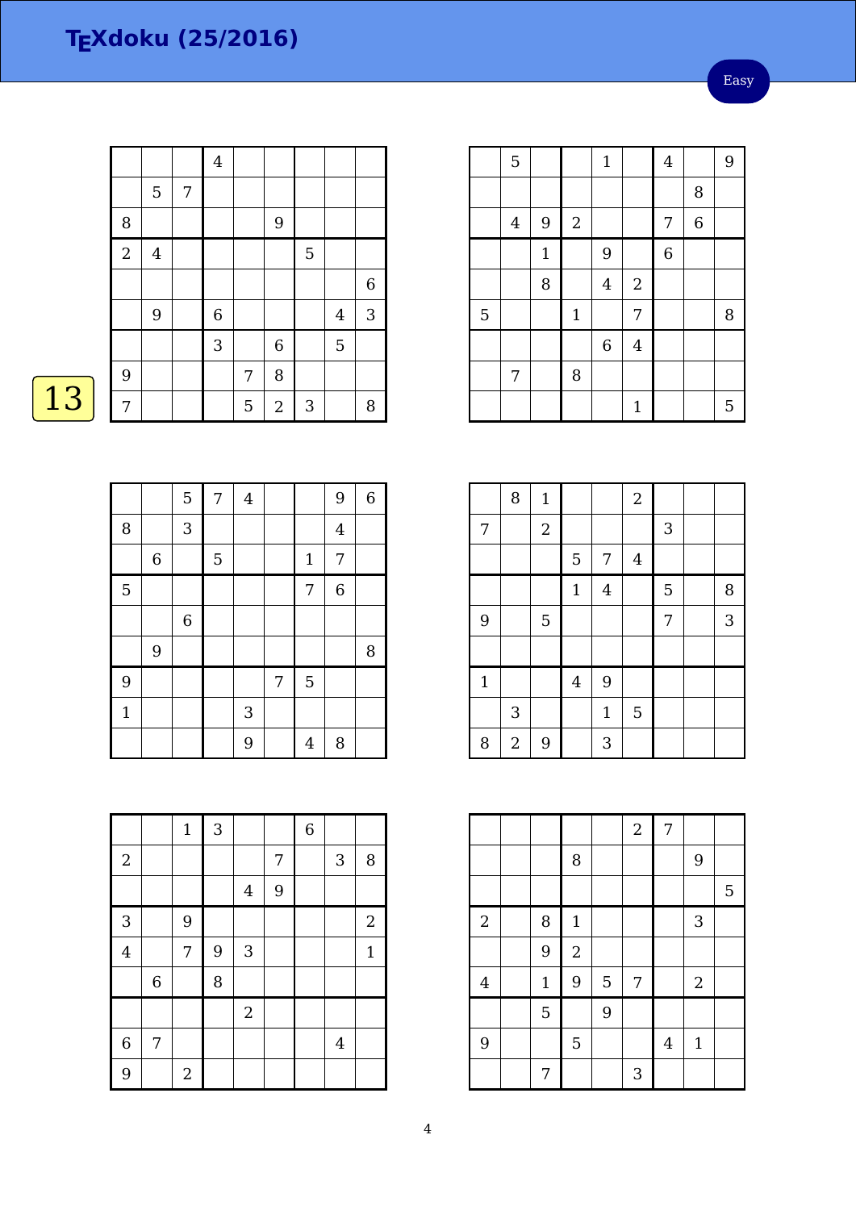Easy

|    |                |                |   | $\overline{4}$ |             |                |                |                |             |
|----|----------------|----------------|---|----------------|-------------|----------------|----------------|----------------|-------------|
|    |                | 5              | 7 |                |             |                |                |                |             |
|    | 8              |                |   |                |             | $\overline{9}$ |                |                |             |
|    | $\overline{2}$ | $\overline{4}$ |   |                |             |                | $\overline{5}$ |                |             |
|    |                |                |   |                |             |                |                |                | $\,$ 6 $\,$ |
|    |                | $9$            |   | $\,6$          |             |                |                | $\overline{4}$ | $\sqrt{3}$  |
|    |                |                |   | 3              |             | $\,$ 6 $\,$    |                | $\mathbf 5$    |             |
|    | 9              |                |   |                | 7           | 8              |                |                |             |
| 13 | 7              |                |   |                | $\mathbf 5$ | $\sqrt{2}$     | $\sqrt{3}$     |                | $\, 8$      |
|    |                |                |   |                |             |                |                |                |             |

|                | $\mathbf 5$    |                |             | $\mathbf{1}$ |                | $\bf 4$        |                | 9 |
|----------------|----------------|----------------|-------------|--------------|----------------|----------------|----------------|---|
|                |                |                |             |              |                |                | 8              |   |
|                | $\overline{4}$ | $\overline{9}$ | $\sqrt{2}$  |              |                | 7              | $\overline{6}$ |   |
|                |                | $\mathbf{1}$   |             | 9            |                | $\overline{6}$ |                |   |
|                |                | 8              |             | $\bf 4$      | $\overline{a}$ |                |                |   |
| $\overline{5}$ |                |                | $\mathbf 1$ |              | 7              |                |                | 8 |
|                |                |                |             | $\,$ 6 $\,$  | $\overline{4}$ |                |                |   |
|                | 7              |                | 8           |              |                |                |                |   |
|                |                |                |             |              | $\mathbf{1}$   |                |                | 5 |

|             | 8              | $\mathbf 1$    |                |                | $\overline{2}$ |   |        |  |
|-------------|----------------|----------------|----------------|----------------|----------------|---|--------|--|
| 7           |                | $\overline{2}$ |                |                |                | 3 |        |  |
|             |                |                | 5              | $\overline{7}$ | $\overline{4}$ |   |        |  |
|             |                |                | $\mathbf 1$    | $\overline{4}$ |                | 5 | $\, 8$ |  |
| 9           |                | $\overline{5}$ |                |                |                | 7 | 3      |  |
|             |                |                |                |                |                |   |        |  |
| $\mathbf 1$ |                |                | $\overline{4}$ | 9              |                |   |        |  |
|             | 3              |                |                | $\mathbf{1}$   | 5              |   |        |  |
| 8           | $\overline{2}$ | 9              |                | 3              |                |   |        |  |

|                |             |                |   | $\overline{a}$ | $\overline{7}$ |              |   |
|----------------|-------------|----------------|---|----------------|----------------|--------------|---|
|                |             | 8              |   |                |                | 9            |   |
|                |             |                |   |                |                |              | 5 |
| $\overline{2}$ | 8           | $\mathbf{1}$   |   |                |                | 3            |   |
|                | 9           | $\overline{c}$ |   |                |                |              |   |
| $\overline{4}$ | $\mathbf 1$ | 9              | 5 | 7              |                | $\sqrt{2}$   |   |
|                | 5           |                | 9 |                |                |              |   |
| 9              |             | 5              |   |                | $\bf 4$        | $\mathbf{1}$ |   |
|                | 7           |                |   | 3              |                |              |   |

|              |             | 5       | 7 | $\bf 4$ |   |                | 9                       | $\,$ 6 $\,$ |
|--------------|-------------|---------|---|---------|---|----------------|-------------------------|-------------|
| 8            |             | 3       |   |         |   |                | $\overline{\mathbf{4}}$ |             |
|              | $\,$ 6 $\,$ |         | 5 |         |   | $\mathbf{1}$   | 7                       |             |
| 5            |             |         |   |         |   | 7              | $\overline{6}$          |             |
|              |             | $\,6\,$ |   |         |   |                |                         |             |
|              | 9           |         |   |         |   |                |                         | 8           |
| 9            |             |         |   |         | 7 | 5              |                         |             |
| $\mathbf{1}$ |             |         |   | 3       |   |                |                         |             |
|              |             |         |   | 9       |   | $\overline{4}$ | 8                       |             |

|                |                  | $\mathbf{1}$ | $\mathbf{3}$ |                           |   | $\overline{6}$ |                |                |
|----------------|------------------|--------------|--------------|---------------------------|---|----------------|----------------|----------------|
| $\overline{2}$ |                  |              |              |                           | 7 |                | 3              | 8              |
|                |                  |              |              | $\bf 4$                   | 9 |                |                |                |
| 3              |                  | 9            |              |                           |   |                |                | $\overline{2}$ |
| $\overline{4}$ |                  | 7            | 9            | $\ensuremath{\mathsf{3}}$ |   |                |                | $\mathbf{1}$   |
|                | $\boldsymbol{6}$ |              | 8            |                           |   |                |                |                |
|                |                  |              |              | $\sqrt{2}$                |   |                |                |                |
| $\,6$          | 7                |              |              |                           |   |                | $\overline{4}$ |                |
| 9              |                  | $\sqrt{2}$   |              |                           |   |                |                |                |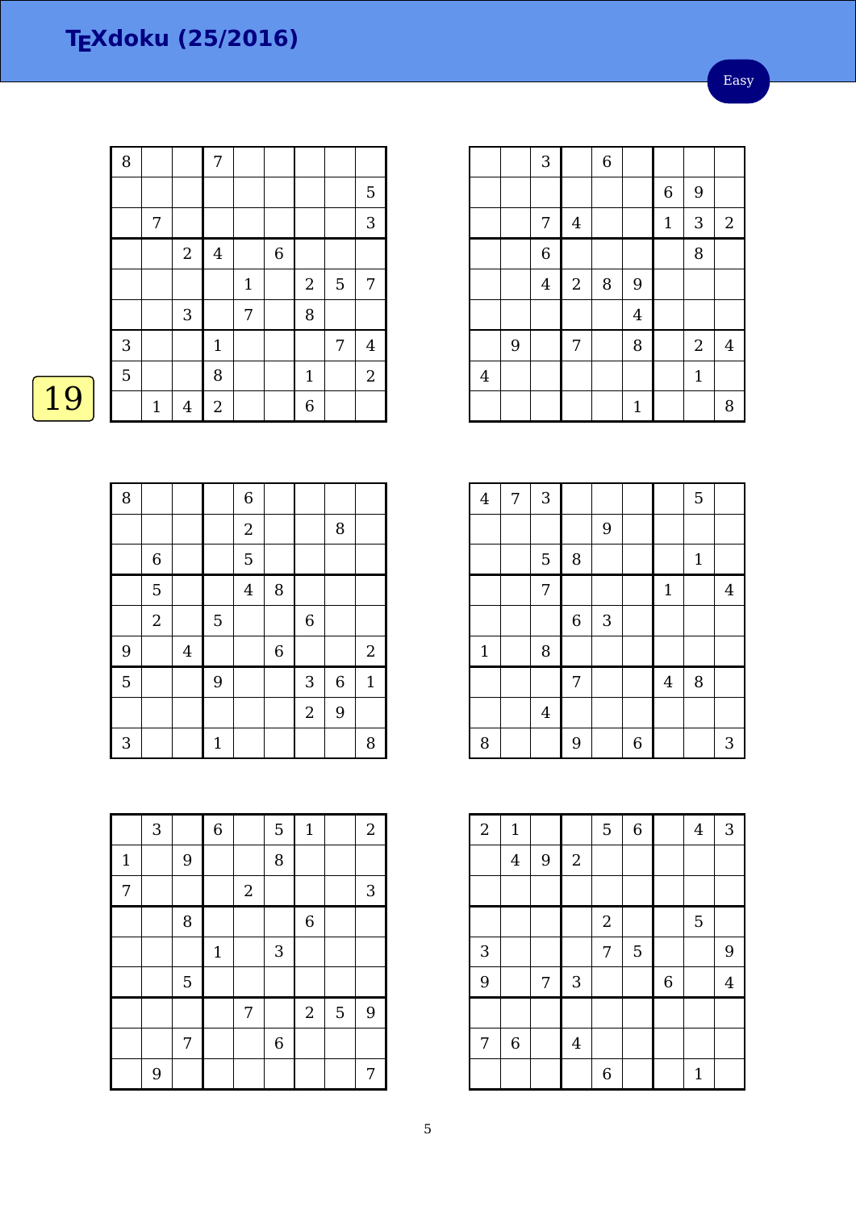Easy

|    | 8            |              |                           | 7              |             |                |                |                |                |
|----|--------------|--------------|---------------------------|----------------|-------------|----------------|----------------|----------------|----------------|
|    |              |              |                           |                |             |                |                |                | 5              |
|    |              | 7            |                           |                |             |                |                |                | $\sqrt{3}$     |
|    |              |              | $\sqrt{2}$                | $\overline{4}$ |             | $\overline{6}$ |                |                |                |
|    |              |              |                           |                | $\mathbf 1$ |                | $\overline{2}$ | $\overline{5}$ | 7              |
|    |              |              | $\ensuremath{\mathsf{3}}$ |                | 7           |                | $\, 8$         |                |                |
|    | $\mathbf{3}$ |              |                           | $\mathbf{1}$   |             |                |                | 7              | $\bf 4$        |
|    | 5            |              |                           | 8              |             |                | $\mathbf{1}$   |                | $\overline{2}$ |
| 19 |              | $\mathbf{1}$ | $\overline{4}$            | $\overline{2}$ |             |                | 6              |                |                |
|    |              |              |                           |                |             |                |                |                |                |

| 8              |                |                         |              | $\,6$          |                |                |         |              |
|----------------|----------------|-------------------------|--------------|----------------|----------------|----------------|---------|--------------|
|                |                |                         |              | $\sqrt{2}$     |                |                | 8       |              |
|                | $\,6\,$        |                         |              | 5              |                |                |         |              |
|                | 5              |                         |              | $\overline{4}$ | 8              |                |         |              |
|                | $\overline{2}$ |                         | 5            |                |                | $\overline{6}$ |         |              |
| 9              |                | $\overline{\mathbf{4}}$ |              |                | $\overline{6}$ |                |         | $\sqrt{2}$   |
| $\overline{5}$ |                |                         | 9            |                |                | 3              | $\,6\,$ | $\mathbf{1}$ |
|                |                |                         |              |                |                | $\overline{2}$ | 9       |              |
| 3              |                |                         | $\mathbf{1}$ |                |                |                |         | 8            |

|              | 3 |             | $\overline{6}$ |            | $\overline{5}$ | $\mathbf{1}$   |   | $\overline{2}$ |
|--------------|---|-------------|----------------|------------|----------------|----------------|---|----------------|
| $\mathbf{1}$ |   | 9           |                |            | 8              |                |   |                |
| 7            |   |             |                | $\sqrt{2}$ |                |                |   | $\sqrt{3}$     |
|              |   | 8           |                |            |                | $\overline{6}$ |   |                |
|              |   |             | $1\,$          |            | 3              |                |   |                |
|              |   | $\mathbf 5$ |                |            |                |                |   |                |
|              |   |             |                | 7          |                | $\overline{2}$ | 5 | 9              |
|              |   | 7           |                |            | $\overline{6}$ |                |   |                |
|              | 9 |             |                |            |                |                |   | 7              |

|                |   | 3              |                         | $\overline{6}$ |                         |             |                |                |
|----------------|---|----------------|-------------------------|----------------|-------------------------|-------------|----------------|----------------|
|                |   |                |                         |                |                         | $\,$ 6 $\,$ | 9              |                |
|                |   | 7              | $\overline{\mathbf{4}}$ |                |                         | $\mathbf 1$ | 3              | $\sqrt{2}$     |
|                |   | $\overline{6}$ |                         |                |                         |             | 8              |                |
|                |   | $\bf 4$        | $\sqrt{2}$              | 8              | 9                       |             |                |                |
|                |   |                |                         |                | $\overline{\mathbf{4}}$ |             |                |                |
|                | 9 |                | 7                       |                | 8                       |             | $\overline{2}$ | $\overline{4}$ |
| $\overline{4}$ |   |                |                         |                |                         |             | $\mathbf{1}$   |                |
|                |   |                |                         |                | $\mathbf{1}$            |             |                | 8              |

| $\overline{\mathbf{4}}$ | $\overline{7}$ | $\sqrt{3}$     |             |            |   |              | 5           |                |
|-------------------------|----------------|----------------|-------------|------------|---|--------------|-------------|----------------|
|                         |                |                |             | 9          |   |              |             |                |
|                         |                | $\overline{5}$ | 8           |            |   |              | $\mathbf 1$ |                |
|                         |                | 7              |             |            |   | $\mathbf{1}$ |             | $\overline{4}$ |
|                         |                |                | $\,$ 6 $\,$ | $\sqrt{3}$ |   |              |             |                |
| $1\,$                   |                | 8              |             |            |   |              |             |                |
|                         |                |                | 7           |            |   | $\bf 4$      | 8           |                |
|                         |                | $\overline{4}$ |             |            |   |              |             |                |
| 8                       |                |                | 9           |            | 6 |              |             | 3              |

| $\overline{c}$ | $\mathbf 1$    |   |                  | 5              | $\overline{6}$ |                  | $\overline{4}$ | 3              |
|----------------|----------------|---|------------------|----------------|----------------|------------------|----------------|----------------|
|                | $\overline{4}$ | 9 | $\sqrt{2}$       |                |                |                  |                |                |
|                |                |   |                  |                |                |                  |                |                |
|                |                |   |                  | $\overline{2}$ |                |                  | 5              |                |
| 3              |                |   |                  | 7              | 5              |                  |                | 9              |
| 9              |                | 7 | $\sqrt{3}$       |                |                | $\boldsymbol{6}$ |                | $\overline{4}$ |
|                |                |   |                  |                |                |                  |                |                |
| 7              | $\,6\,$        |   | $\boldsymbol{4}$ |                |                |                  |                |                |
|                |                |   |                  | $\overline{6}$ |                |                  | $\mathbf 1$    |                |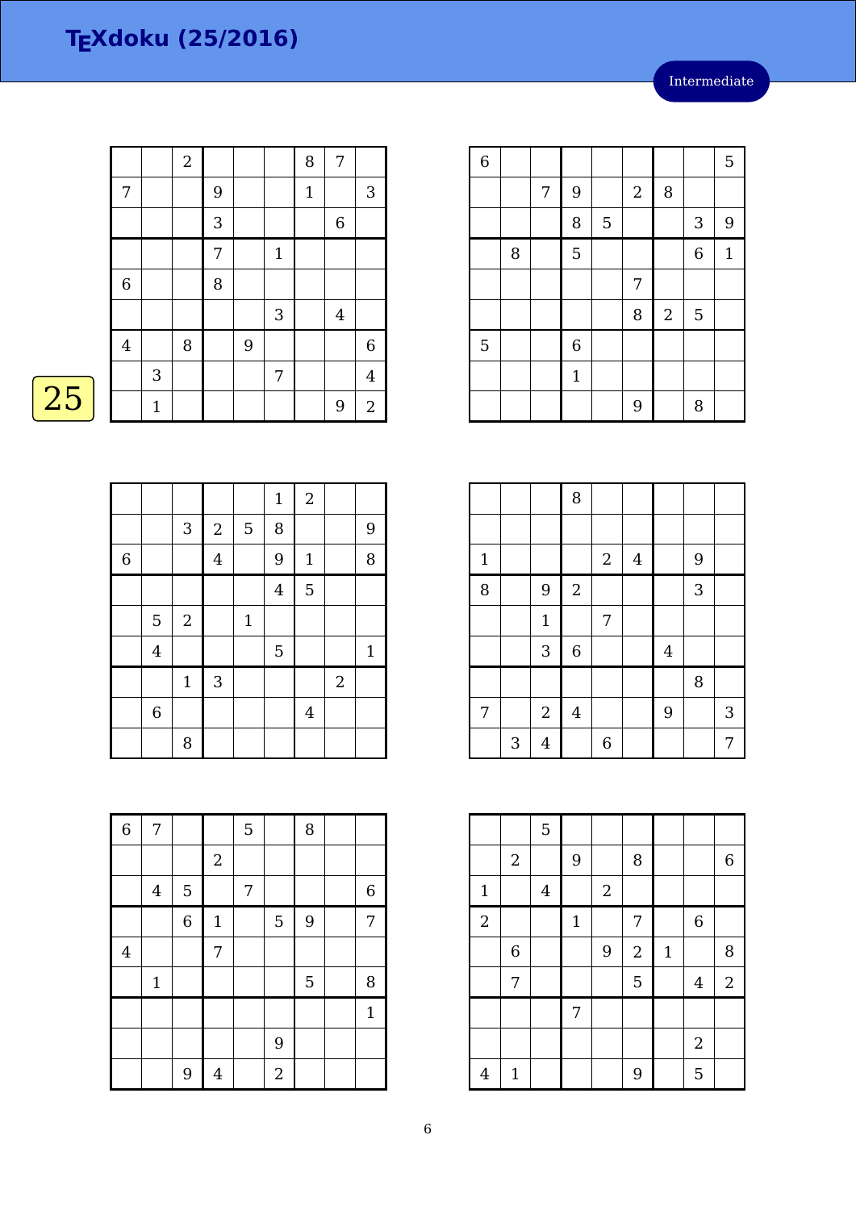|                  |       | $\sqrt{2}$ |                |   |              | 8            | 7              |                |
|------------------|-------|------------|----------------|---|--------------|--------------|----------------|----------------|
| 7                |       |            | 9              |   |              | $\mathbf{1}$ |                | $\sqrt{3}$     |
|                  |       |            | 3              |   |              |              | $\,$ 6 $\,$    |                |
|                  |       |            | $\overline{7}$ |   | $\mathbf{1}$ |              |                |                |
| $\boldsymbol{6}$ |       |            | 8              |   |              |              |                |                |
|                  |       |            |                |   | 3            |              | $\overline{4}$ |                |
| $\overline{4}$   |       | 8          |                | 9 |              |              |                | 6              |
|                  | 3     |            |                |   | 7            |              |                | $\overline{4}$ |
|                  | $1\,$ |            |                |   |              |              | 9              | $\mathbf{2}$   |

## $\overline{25}$

|                |                |                |                |       | $\mathbf{1}$   | $\overline{2}$ |            |              |
|----------------|----------------|----------------|----------------|-------|----------------|----------------|------------|--------------|
|                |                | $\sqrt{3}$     | $\sqrt{2}$     | 5     | 8              |                |            | 9            |
| $\overline{6}$ |                |                | $\overline{4}$ |       | 9              | $\mathbf{1}$   |            | 8            |
|                |                |                |                |       | $\overline{4}$ | 5              |            |              |
|                | 5              | $\overline{2}$ |                | $1\,$ |                |                |            |              |
|                | $\overline{4}$ |                |                |       | 5              |                |            | $\mathbf{1}$ |
|                |                | $\mathbf{1}$   | $\sqrt{3}$     |       |                |                | $\sqrt{2}$ |              |
|                | $\,6\,$        |                |                |       |                | $\overline{4}$ |            |              |
|                |                | 8              |                |       |                |                |            |              |

| $\overline{6}$ | 7                       |                |                | 5 |                | 8 |                |
|----------------|-------------------------|----------------|----------------|---|----------------|---|----------------|
|                |                         |                | $\sqrt{2}$     |   |                |   |                |
|                | $\overline{\mathbf{4}}$ | $\mathbf 5$    |                | 7 |                |   | $\,$ 6 $\,$    |
|                |                         | $\overline{6}$ | $\mathbf 1$    |   | 5              | 9 | $\overline{7}$ |
| $\overline{4}$ |                         |                | 7              |   |                |   |                |
|                | $1\,$                   |                |                |   |                | 5 | 8              |
|                |                         |                |                |   |                |   | $\mathbf{1}$   |
|                |                         |                |                |   | 9              |   |                |
|                |                         | 9              | $\overline{4}$ |   | $\overline{a}$ |   |                |

| $\overline{6}$ |   |   |                |   |                  |                  |                  | 5            |
|----------------|---|---|----------------|---|------------------|------------------|------------------|--------------|
|                |   | 7 | 9              |   | $\boldsymbol{2}$ | 8                |                  |              |
|                |   |   | 8              | 5 |                  |                  | $\sqrt{3}$       | 9            |
|                | 8 |   | 5              |   |                  |                  | $\boldsymbol{6}$ | $\mathbf{1}$ |
|                |   |   |                |   | 7                |                  |                  |              |
|                |   |   |                |   | 8                | $\boldsymbol{2}$ | 5                |              |
| 5              |   |   | $\overline{6}$ |   |                  |                  |                  |              |
|                |   |   | $\mathbf{1}$   |   |                  |                  |                  |              |
|                |   |   |                |   | 9                |                  | 8                |              |

|             |   |                | 8              |                |                |         |   |   |
|-------------|---|----------------|----------------|----------------|----------------|---------|---|---|
|             |   |                |                |                |                |         |   |   |
| $\mathbf 1$ |   |                |                | $\sqrt{2}$     | $\overline{4}$ |         | 9 |   |
| 8           |   | 9              | $\sqrt{2}$     |                |                |         | 3 |   |
|             |   | $\mathbf 1$    |                | 7              |                |         |   |   |
|             |   | $\mathbf{3}$   | $\overline{6}$ |                |                | $\bf 4$ |   |   |
|             |   |                |                |                |                |         | 8 |   |
| 7           |   | $\sqrt{2}$     | $\bf 4$        |                |                | 9       |   | 3 |
|             | 3 | $\overline{4}$ |                | $\overline{6}$ |                |         |   | 7 |

|                |              | $\overline{5}$ |              |            |                |             |                  |                  |
|----------------|--------------|----------------|--------------|------------|----------------|-------------|------------------|------------------|
|                | $\sqrt{2}$   |                | 9            |            | 8              |             |                  | $\boldsymbol{6}$ |
| $\mathbf{1}$   |              | $\overline{4}$ |              | $\sqrt{2}$ |                |             |                  |                  |
| $\overline{2}$ |              |                | $\mathbf{1}$ |            | 7              |             | $\boldsymbol{6}$ |                  |
|                | 6            |                |              | 9          | $\overline{2}$ | $\mathbf 1$ |                  | 8                |
|                | 7            |                |              |            | 5              |             | $\overline{4}$   | $\overline{2}$   |
|                |              |                | 7            |            |                |             |                  |                  |
|                |              |                |              |            |                |             | $\sqrt{2}$       |                  |
| $\overline{4}$ | $\mathbf{1}$ |                |              |            | 9              |             | 5                |                  |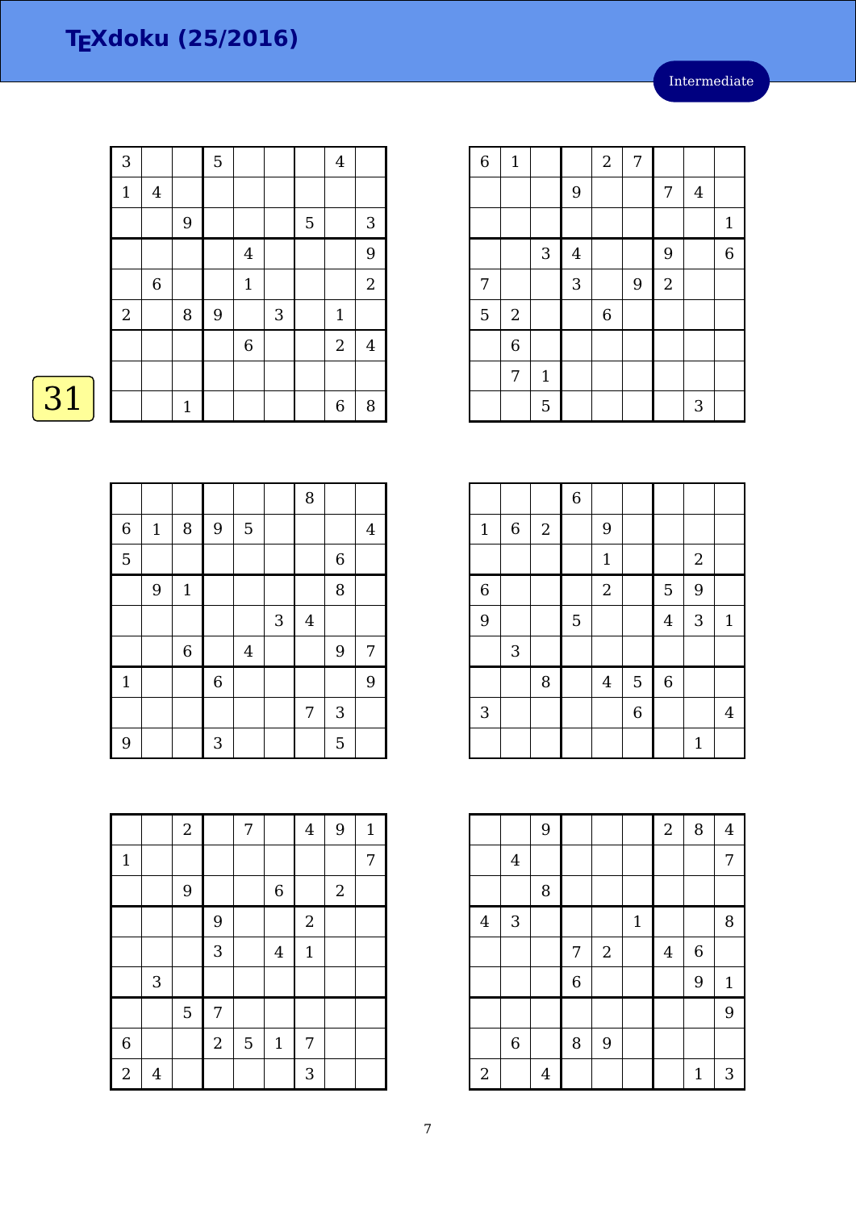| 3           |                         |              | 5 |                         |   |             | $\bf 4$          |            |
|-------------|-------------------------|--------------|---|-------------------------|---|-------------|------------------|------------|
| $\mathbf 1$ | $\overline{\mathbf{4}}$ |              |   |                         |   |             |                  |            |
|             |                         | 9            |   |                         |   | $\mathbf 5$ |                  | $\sqrt{3}$ |
|             |                         |              |   | $\overline{\mathbf{4}}$ |   |             |                  | 9          |
|             | $\,6$                   |              |   | $\mathbf 1$             |   |             |                  | $\sqrt{2}$ |
| $\sqrt{2}$  |                         | $\, 8$       | 9 |                         | 3 |             | $\mathbf 1$      |            |
|             |                         |              |   | $\,6$                   |   |             | $\sqrt{2}$       | 4          |
|             |                         |              |   |                         |   |             |                  |            |
|             |                         | $\mathbf{1}$ |   |                         |   |             | $\boldsymbol{6}$ | 8          |

# $\overline{31}$

|                |             |             |                |         |   | 8              |              |   |
|----------------|-------------|-------------|----------------|---------|---|----------------|--------------|---|
| $\overline{6}$ | $\mathbf 1$ | 8           | $\overline{9}$ | 5       |   |                |              | 4 |
| 5              |             |             |                |         |   |                | $\,$ 6 $\,$  |   |
|                | 9           | $\mathbf 1$ |                |         |   |                | 8            |   |
|                |             |             |                |         | 3 | $\overline{4}$ |              |   |
|                |             | $\,6$       |                | $\bf 4$ |   |                | 9            | 7 |
| $\mathbf{1}$   |             |             | $\overline{6}$ |         |   |                |              | 9 |
|                |             |             |                |         |   | $\overline{7}$ | $\mathbf{3}$ |   |
| 9              |             |             | 3              |         |   |                | 5            |   |

|                |                | $\overline{2}$ |            | 7              |             | $\overline{4}$ | 9          | $\mathbf{1}$ |
|----------------|----------------|----------------|------------|----------------|-------------|----------------|------------|--------------|
| $\mathbf{1}$   |                |                |            |                |             |                |            | 7            |
|                |                | 9              |            |                | $\,$ 6 $\,$ |                | $\sqrt{2}$ |              |
|                |                |                | 9          |                |             | $\overline{a}$ |            |              |
|                |                |                | 3          |                | $\bf 4$     | $\mathbf{1}$   |            |              |
|                | $\sqrt{3}$     |                |            |                |             |                |            |              |
|                |                | 5              | 7          |                |             |                |            |              |
| $\,$ 6 $\,$    |                |                | $\sqrt{2}$ | $\overline{5}$ | $1\,$       | 7              |            |              |
| $\overline{2}$ | $\overline{4}$ |                |            |                |             | 3              |            |              |

| $\overline{6}$ | $\mathbf 1$    |             |                | $\sqrt{2}$       | 7 |                  |   |                |
|----------------|----------------|-------------|----------------|------------------|---|------------------|---|----------------|
|                |                |             | $\overline{9}$ |                  |   | 7                | 4 |                |
|                |                |             |                |                  |   |                  |   | $\mathbf{1}$   |
|                |                | $\sqrt{3}$  | $\bf 4$        |                  |   | 9                |   | $\overline{6}$ |
| 7              |                |             | 3              |                  | 9 | $\boldsymbol{2}$ |   |                |
| 5              | $\overline{2}$ |             |                | $\boldsymbol{6}$ |   |                  |   |                |
|                | $\overline{6}$ |             |                |                  |   |                  |   |                |
|                | 7              | $\mathbf 1$ |                |                  |   |                  |   |                |
|                |                | 5           |                |                  |   |                  | 3 |                |

|                |                           |            | $\,$ 6 $\,$ |                |                |             |              |                |
|----------------|---------------------------|------------|-------------|----------------|----------------|-------------|--------------|----------------|
| $\mathbf 1$    | $\,6\,$                   | $\sqrt{2}$ |             | 9              |                |             |              |                |
|                |                           |            |             | $\mathbf 1$    |                |             | $\sqrt{2}$   |                |
| $\overline{6}$ |                           |            |             | $\sqrt{2}$     |                | 5           | 9            |                |
| 9              |                           |            | 5           |                |                | $\bf 4$     | 3            | $\mathbf{1}$   |
|                | $\ensuremath{\mathsf{3}}$ |            |             |                |                |             |              |                |
|                |                           | 8          |             | $\overline{4}$ | $\overline{5}$ | $\,$ 6 $\,$ |              |                |
| $\sqrt{3}$     |                           |            |             |                | $\overline{6}$ |             |              | $\overline{4}$ |
|                |                           |            |             |                |                |             | $\mathbf{1}$ |                |

|                |                | 9              |                |            |              | $\overline{c}$ | 8                | $\overline{4}$ |
|----------------|----------------|----------------|----------------|------------|--------------|----------------|------------------|----------------|
|                | $\overline{4}$ |                |                |            |              |                |                  | 7              |
|                |                | 8              |                |            |              |                |                  |                |
| $\overline{4}$ | 3              |                |                |            | $\mathbf{1}$ |                |                  | 8              |
|                |                |                | 7              | $\sqrt{2}$ |              | $\overline{4}$ | $\boldsymbol{6}$ |                |
|                |                |                | $\overline{6}$ |            |              |                | 9                | $\mathbf{1}$   |
|                |                |                |                |            |              |                |                  | 9              |
|                | $\,6\,$        |                | 8              | 9          |              |                |                  |                |
| $\sqrt{2}$     |                | $\overline{4}$ |                |            |              |                | $\mathbf{1}$     | 3              |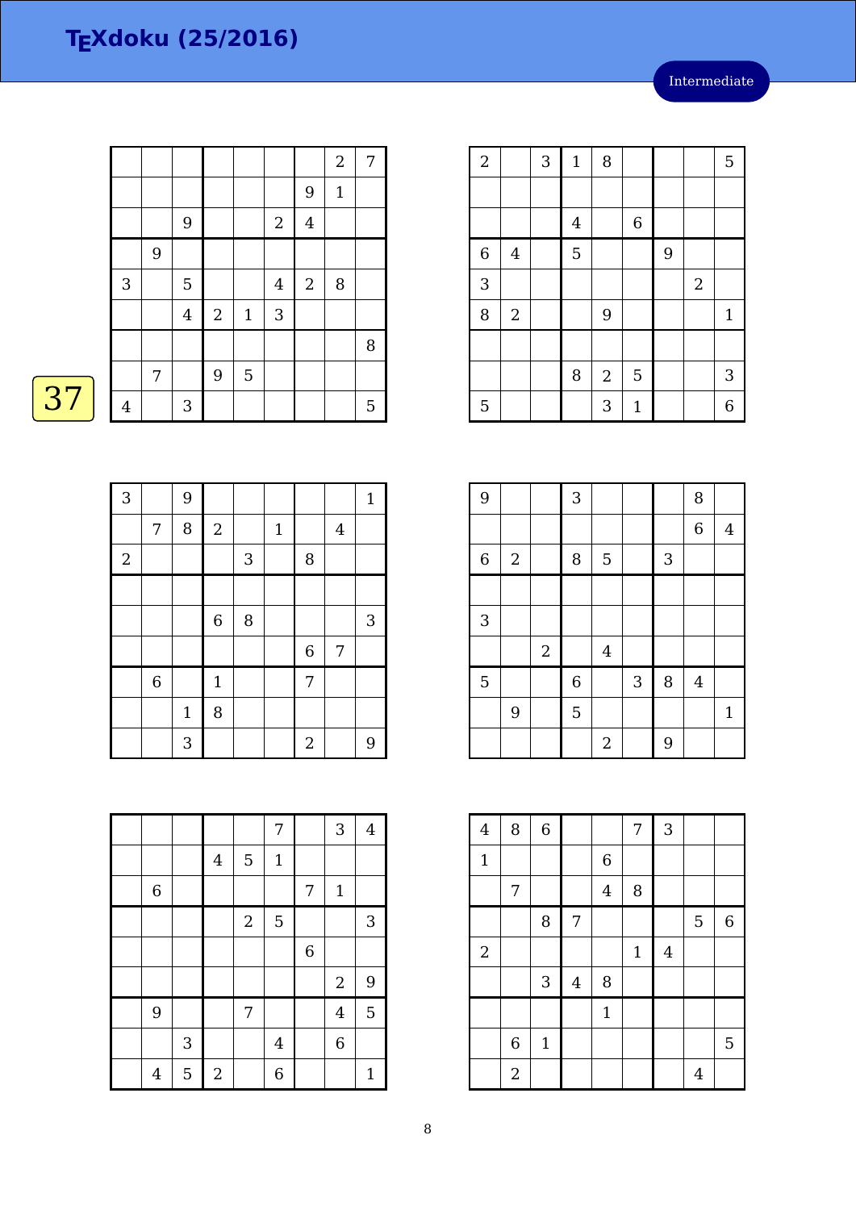|    |                |   |                  |            |                |                |                | $\boldsymbol{2}$ | $\boldsymbol{7}$ |
|----|----------------|---|------------------|------------|----------------|----------------|----------------|------------------|------------------|
|    |                |   |                  |            |                |                | 9              | $1\,$            |                  |
|    |                |   | $\boldsymbol{9}$ |            |                | $\sqrt{2}$     | $\bf 4$        |                  |                  |
|    |                | 9 |                  |            |                |                |                |                  |                  |
|    | 3              |   | $\overline{5}$   |            |                | $\overline{4}$ | $\overline{2}$ | 8                |                  |
|    |                |   | $\bf 4$          | $\sqrt{2}$ | $\mathbf{1}$   | $\sqrt{3}$     |                |                  |                  |
|    |                |   |                  |            |                |                |                |                  | 8                |
|    |                | 7 |                  | 9          | $\overline{5}$ |                |                |                  |                  |
| 37 | $\overline{4}$ |   | $\sqrt{3}$       |            |                |                |                |                  | 5                |

| $\mathbf{3}$ |       | 9            |              |            |             |                  |                | $\mathbf{1}$   |
|--------------|-------|--------------|--------------|------------|-------------|------------------|----------------|----------------|
|              | 7     | 8            | $\sqrt{2}$   |            | $\mathbf 1$ |                  | $\overline{4}$ |                |
| $\sqrt{2}$   |       |              |              | $\sqrt{3}$ |             | 8                |                |                |
|              |       |              |              |            |             |                  |                |                |
|              |       |              | $\,$ 6 $\,$  | 8          |             |                  |                | $\sqrt{3}$     |
|              |       |              |              |            |             | $\boldsymbol{6}$ | 7              |                |
|              | $\,6$ |              | $\mathbf{1}$ |            |             | $\overline{7}$   |                |                |
|              |       | $\mathbf{1}$ | 8            |            |             |                  |                |                |
|              |       | 3            |              |            |             | $\overline{2}$   |                | $\overline{9}$ |

|                |            |                  |                  | 7              |                  | 3              | $\overline{4}$ |
|----------------|------------|------------------|------------------|----------------|------------------|----------------|----------------|
|                |            | $\overline{4}$   | 5                | $\mathbf 1$    |                  |                |                |
| $\,6\,$        |            |                  |                  |                | 7                | $\mathbf 1$    |                |
|                |            |                  | $\boldsymbol{2}$ | 5              |                  |                | 3              |
|                |            |                  |                  |                | $\boldsymbol{6}$ |                |                |
|                |            |                  |                  |                |                  | $\sqrt{2}$     | 9              |
| 9              |            |                  | 7                |                |                  | $\overline{4}$ | 5              |
|                | $\sqrt{3}$ |                  |                  | $\overline{4}$ |                  | $\overline{6}$ |                |
| $\overline{4}$ | 5          | $\boldsymbol{2}$ |                  | 6              |                  |                | $\mathbf 1$    |

| $\sqrt{2}$  |                         | 3 | $\mathbf{1}$   | $\, 8$     |              |   |            | $\mathbf 5$               |
|-------------|-------------------------|---|----------------|------------|--------------|---|------------|---------------------------|
|             |                         |   |                |            |              |   |            |                           |
|             |                         |   | $\overline{4}$ |            | 6            |   |            |                           |
| $\,$ 6 $\,$ | $\overline{\mathbf{4}}$ |   | 5              |            |              | 9 |            |                           |
| 3           |                         |   |                |            |              |   | $\sqrt{2}$ |                           |
| 8           | $\sqrt{2}$              |   |                | 9          |              |   |            | $\mathbf{1}$              |
|             |                         |   |                |            |              |   |            |                           |
|             |                         |   | 8              | $\sqrt{2}$ | 5            |   |            | $\ensuremath{\mathsf{3}}$ |
| 5           |                         |   |                | 3          | $\mathbf{1}$ |   |            | 6                         |
|             |                         |   |                |            |              |   |            |                           |

| 9              |                  |       | 3              |                |   |   | 8                |                |
|----------------|------------------|-------|----------------|----------------|---|---|------------------|----------------|
|                |                  |       |                |                |   |   | $\boldsymbol{6}$ | $\overline{4}$ |
| $\overline{6}$ | $\boldsymbol{2}$ |       | 8              | 5              |   | 3 |                  |                |
|                |                  |       |                |                |   |   |                  |                |
| $\mathbf{3}$   |                  |       |                |                |   |   |                  |                |
|                |                  | $\,2$ |                | $\bf 4$        |   |   |                  |                |
| 5              |                  |       | $\overline{6}$ |                | 3 | 8 | $\overline{4}$   |                |
|                | 9                |       | 5              |                |   |   |                  | $\mathbf{1}$   |
|                |                  |       |                | $\overline{2}$ |   | 9 |                  |                |

| $\overline{4}$ | 8              | $\overline{6}$ |                |                | 7           | 3              |                |             |
|----------------|----------------|----------------|----------------|----------------|-------------|----------------|----------------|-------------|
| $\mathbf{1}$   |                |                |                | $\,$ 6 $\,$    |             |                |                |             |
|                | 7              |                |                | $\overline{4}$ | 8           |                |                |             |
|                |                | 8              | $\overline{7}$ |                |             |                | 5              | $\,$ 6 $\,$ |
| $\overline{2}$ |                |                |                |                | $\mathbf 1$ | $\overline{4}$ |                |             |
|                |                | 3              | $\overline{4}$ | 8              |             |                |                |             |
|                |                |                |                | $\mathbf{1}$   |             |                |                |             |
|                | $\,6\,$        | $\mathbf{1}$   |                |                |             |                |                | 5           |
|                | $\overline{2}$ |                |                |                |             |                | $\overline{4}$ |             |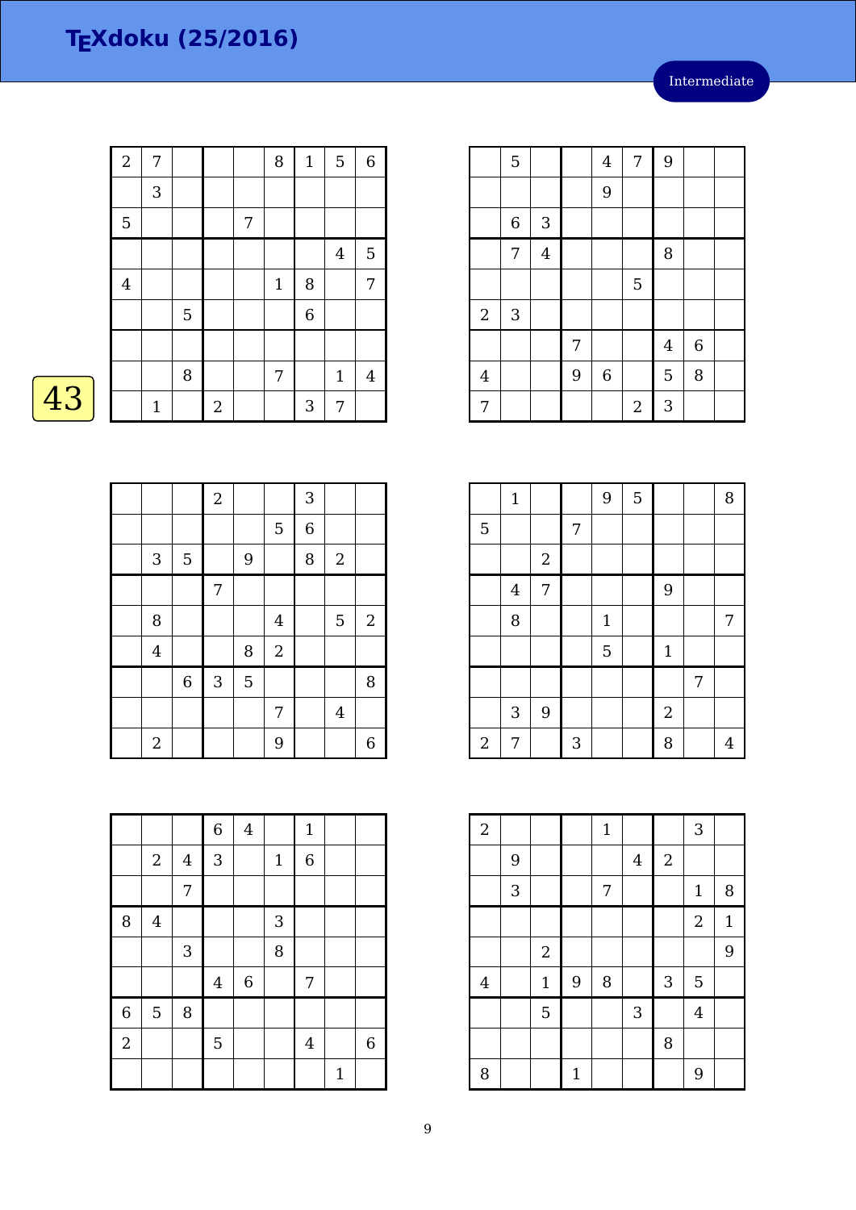Intermediate

|    | $\overline{2}$ | 7 |                |                  |   | 8            | $\mathbf{1}$   | 5              | $\,6\,$ |
|----|----------------|---|----------------|------------------|---|--------------|----------------|----------------|---------|
|    |                | 3 |                |                  |   |              |                |                |         |
|    | 5              |   |                |                  | 7 |              |                |                |         |
|    |                |   |                |                  |   |              |                | $\overline{4}$ | 5       |
|    | $\overline{4}$ |   |                |                  |   | $\mathbf{1}$ | 8              |                | 7       |
|    |                |   | $\overline{5}$ |                  |   |              | $\overline{6}$ |                |         |
|    |                |   |                |                  |   |              |                |                |         |
|    |                |   | $\, 8$         |                  |   | 7            |                | $\mathbf{1}$   | 4       |
| 43 |                | 1 |                | $\boldsymbol{2}$ |   |              | 3              | 7              |         |

| Λ |  |
|---|--|
|   |  |

|                           |             | $\sqrt{2}$     |   |                | 3              |                  |            |
|---------------------------|-------------|----------------|---|----------------|----------------|------------------|------------|
|                           |             |                |   | 5              | $\overline{6}$ |                  |            |
| $\ensuremath{\mathsf{3}}$ | $\mathbf 5$ |                | 9 |                | 8              | $\boldsymbol{2}$ |            |
|                           |             | $\overline{7}$ |   |                |                |                  |            |
| 8                         |             |                |   | $\overline{4}$ |                | 5                | $\sqrt{2}$ |
| $\overline{4}$            |             |                | 8 | $\overline{a}$ |                |                  |            |
|                           | $\,$ 6 $\,$ | $\sqrt{3}$     | 5 |                |                |                  | 8          |
|                           |             |                |   | 7              |                | $\bf 4$          |            |
| $\overline{2}$            |             |                |   | 9              |                |                  | 6          |

|                |            |            | $\overline{6}$ | $\bf 4$     |             | $\mathbf 1$    |              |                |
|----------------|------------|------------|----------------|-------------|-------------|----------------|--------------|----------------|
|                | $\sqrt{2}$ | $\bf 4$    | 3              |             | $\mathbf 1$ | $\overline{6}$ |              |                |
|                |            | 7          |                |             |             |                |              |                |
| 8              | $\bf 4$    |            |                |             | 3           |                |              |                |
|                |            | $\sqrt{3}$ |                |             | 8           |                |              |                |
|                |            |            | $\overline{4}$ | $\,$ 6 $\,$ |             | 7              |              |                |
| $\overline{6}$ | 5          | 8          |                |             |             |                |              |                |
| $\overline{2}$ |            |            | 5              |             |             | $\overline{4}$ |              | $\overline{6}$ |
|                |            |            |                |             |             |                | $\mathbf{1}$ |                |

|                | 5                |                |   | $\bf 4$     | 7                | 9              |             |  |
|----------------|------------------|----------------|---|-------------|------------------|----------------|-------------|--|
|                |                  |                |   | 9           |                  |                |             |  |
|                | $\boldsymbol{6}$ | 3              |   |             |                  |                |             |  |
|                | 7                | $\overline{4}$ |   |             |                  | 8              |             |  |
|                |                  |                |   |             | 5                |                |             |  |
| $\sqrt{2}$     | $\sqrt{3}$       |                |   |             |                  |                |             |  |
|                |                  |                | 7 |             |                  | $\overline{4}$ | $\,$ 6 $\,$ |  |
| $\overline{4}$ |                  |                | 9 | $\,$ 6 $\,$ |                  | 5              | 8           |  |
| 7              |                  |                |   |             | $\boldsymbol{2}$ | 3              |             |  |

|                | $\mathbf 1$    |            |   | 9            | 5 |                |   | 8 |
|----------------|----------------|------------|---|--------------|---|----------------|---|---|
| 5              |                |            | 7 |              |   |                |   |   |
|                |                | $\sqrt{2}$ |   |              |   |                |   |   |
|                | $\overline{4}$ | 7          |   |              |   | 9              |   |   |
|                | 8              |            |   | $\mathbf{1}$ |   |                |   | 7 |
|                |                |            |   | 5            |   | $\mathbf{1}$   |   |   |
|                |                |            |   |              |   |                | 7 |   |
|                | $\mathbf{3}$   | 9          |   |              |   | $\overline{2}$ |   |   |
| $\overline{c}$ | 7              |            | 3 |              |   | 8              |   | 4 |

| $\overline{a}$ |   |             |                | $\mathbf{1}$ |                |              | 3              |              |
|----------------|---|-------------|----------------|--------------|----------------|--------------|----------------|--------------|
|                | 9 |             |                |              | $\overline{4}$ | $\mathbf{2}$ |                |              |
|                | 3 |             |                | 7            |                |              | $1\,$          | 8            |
|                |   |             |                |              |                |              | $\overline{2}$ | $\mathbf{1}$ |
|                |   | $\sqrt{2}$  |                |              |                |              |                | 9            |
| $\overline{4}$ |   | $\mathbf 1$ | $\overline{9}$ | 8            |                | $\sqrt{3}$   | 5              |              |
|                |   | 5           |                |              | 3              |              | $\overline{4}$ |              |
|                |   |             |                |              |                | 8            |                |              |
| 8              |   |             | $\mathbf{1}$   |              |                |              | 9              |              |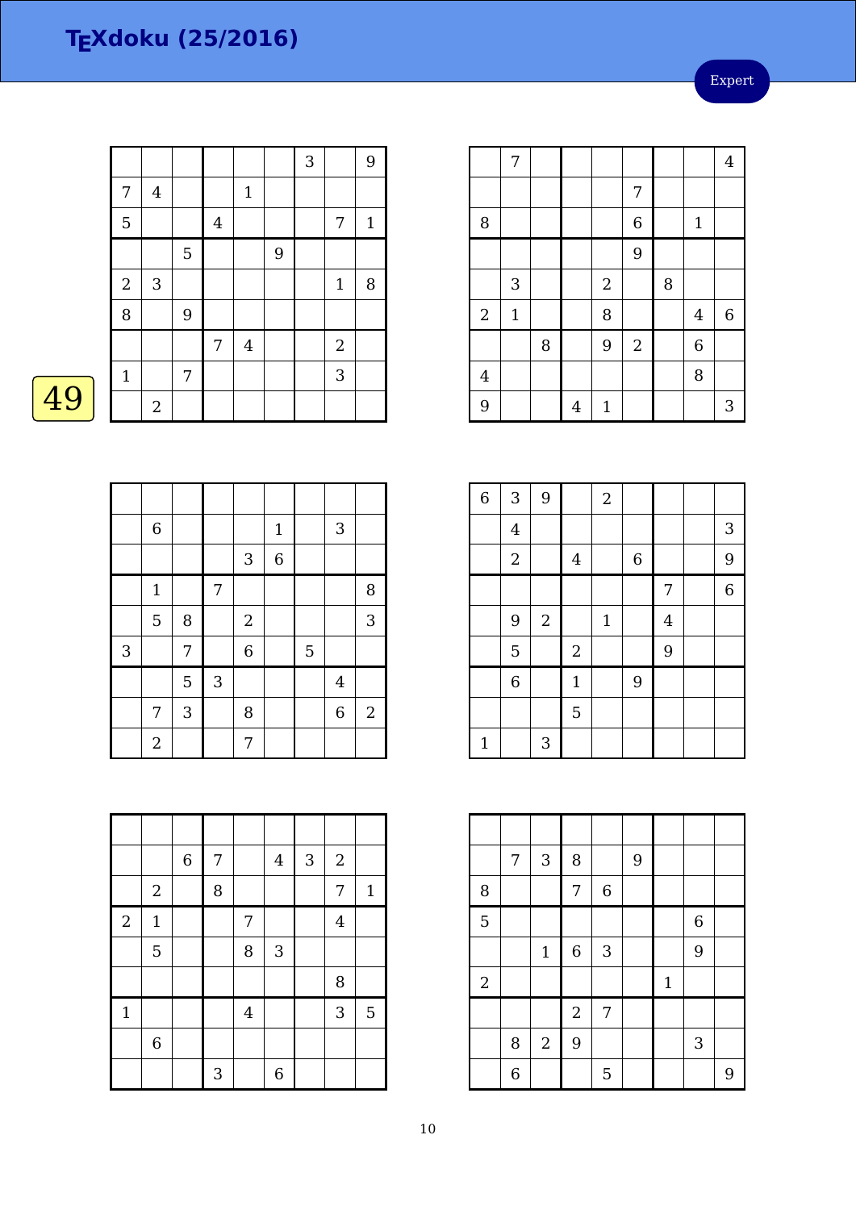Expert

|    |                  |                |                  |                |                  |   | 3 |                | $9$         |
|----|------------------|----------------|------------------|----------------|------------------|---|---|----------------|-------------|
|    | 7                | $\overline{4}$ |                  |                | $\mathbf{1}$     |   |   |                |             |
|    | 5                |                |                  | $\overline{4}$ |                  |   |   | 7              | $\mathbf 1$ |
|    |                  |                | $\mathbf 5$      |                |                  | 9 |   |                |             |
|    | $\boldsymbol{2}$ | 3              |                  |                |                  |   |   | $\mathbf{1}$   | 8           |
|    | 8                |                | $\boldsymbol{9}$ |                |                  |   |   |                |             |
|    |                  |                |                  | $\sqrt{ }$     | $\boldsymbol{4}$ |   |   | $\overline{2}$ |             |
|    | $\mathbf{1}$     |                | 7                |                |                  |   |   | 3              |             |
| 49 |                  | $\overline{2}$ |                  |                |                  |   |   |                |             |
|    |                  |                |                  |                |                  |   |   |                |             |

| Λ | I |  |
|---|---|--|
|   |   |  |

|   | $\,$ 6 $\,$    |   |            |                | $\mathbf 1$    |   | $\mathbf{3}$   |              |
|---|----------------|---|------------|----------------|----------------|---|----------------|--------------|
|   |                |   |            | 3              | $\overline{6}$ |   |                |              |
|   | $\mathbf 1$    |   | 7          |                |                |   |                | 8            |
|   | 5              | 8 |            | $\sqrt{2}$     |                |   |                | 3            |
| 3 |                | 7 |            | $\overline{6}$ |                | 5 |                |              |
|   |                | 5 | $\sqrt{3}$ |                |                |   | $\bf 4$        |              |
|   | 7              | 3 |            | 8              |                |   | $\overline{6}$ | $\mathbf{2}$ |
|   | $\overline{2}$ |   |            | 7              |                |   |                |              |

|                  |                | $\boldsymbol{6}$ | 7 |                | $\overline{4}$ | 3 | $\sqrt{2}$     |              |
|------------------|----------------|------------------|---|----------------|----------------|---|----------------|--------------|
|                  | $\overline{2}$ |                  | 8 |                |                |   | 7              | $\mathbf{1}$ |
| $\boldsymbol{2}$ | $\mathbf{1}$   |                  |   | 7              |                |   | $\overline{4}$ |              |
|                  | 5              |                  |   | 8              | 3              |   |                |              |
|                  |                |                  |   |                |                |   | $\, 8$         |              |
| $\mathbf{1}$     |                |                  |   | $\overline{4}$ |                |   | 3              | 5            |
|                  | $\,$ 6 $\,$    |                  |   |                |                |   |                |              |
|                  |                |                  | 3 |                | $\overline{6}$ |   |                |              |

|                | 7            |   |   |                  |                |   |                | $\overline{4}$ |
|----------------|--------------|---|---|------------------|----------------|---|----------------|----------------|
|                |              |   |   |                  | 7              |   |                |                |
| 8              |              |   |   |                  | 6              |   | $\mathbf{1}$   |                |
|                |              |   |   |                  | 9              |   |                |                |
|                | 3            |   |   | $\boldsymbol{2}$ |                | 8 |                |                |
| $\overline{2}$ | $\mathbf{1}$ |   |   | 8                |                |   | $\bf 4$        | $\,6\,$        |
|                |              | 8 |   | 9                | $\overline{2}$ |   | $\overline{6}$ |                |
| $\overline{4}$ |              |   |   |                  |                |   | 8              |                |
| 9              |              |   | 4 | $\mathbf{1}$     |                |   |                | 3              |

| $\overline{6}$ | 3              | 9              |                | $\sqrt{2}$  |             |                |                |
|----------------|----------------|----------------|----------------|-------------|-------------|----------------|----------------|
|                | $\overline{4}$ |                |                |             |             |                | 3              |
|                | $\sqrt{2}$     |                | $\overline{4}$ |             | $\,$ 6 $\,$ |                | 9              |
|                |                |                |                |             |             | 7              | $\overline{6}$ |
|                | 9              | $\overline{2}$ |                | $\mathbf 1$ |             | $\overline{4}$ |                |
|                | 5              |                | $\sqrt{2}$     |             |             | 9              |                |
|                | $\overline{6}$ |                | $\mathbf 1$    |             | 9           |                |                |
|                |                |                | 5              |             |             |                |                |
| $\mathbf{1}$   |                | 3              |                |             |             |                |                |

|                | 7              | $\sqrt{3}$     | 8                |                  | 9 |             |                  |   |
|----------------|----------------|----------------|------------------|------------------|---|-------------|------------------|---|
| 8              |                |                | 7                | $\boldsymbol{6}$ |   |             |                  |   |
| $\overline{5}$ |                |                |                  |                  |   |             | $\boldsymbol{6}$ |   |
|                |                | $\mathbf{1}$   | $\boldsymbol{6}$ | 3                |   |             | 9                |   |
| $\overline{2}$ |                |                |                  |                  |   | $\mathbf 1$ |                  |   |
|                |                |                | $\overline{2}$   | 7                |   |             |                  |   |
|                | 8              | $\overline{2}$ | 9                |                  |   |             | 3                |   |
|                | $\overline{6}$ |                |                  | 5                |   |             |                  | 9 |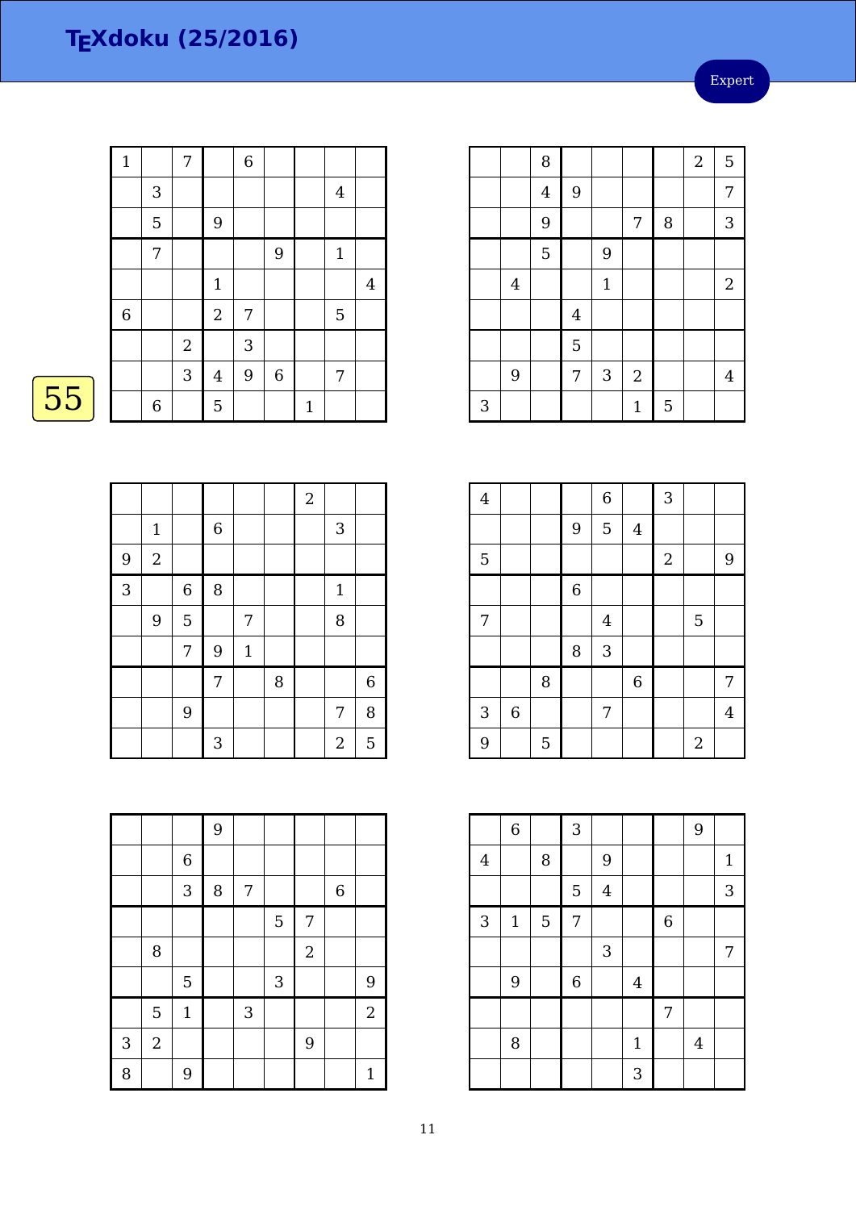Expert

| $\mathbf 1$ |             | 7              |                | $\,$ 6 $\,$ |             |              |                |                |
|-------------|-------------|----------------|----------------|-------------|-------------|--------------|----------------|----------------|
|             | 3           |                |                |             |             |              | $\overline{4}$ |                |
|             | 5           |                | $\overline{9}$ |             |             |              |                |                |
|             | 7           |                |                |             | 9           |              | $\mathbf 1$    |                |
|             |             |                | $1\,$          |             |             |              |                | $\overline{4}$ |
| $\,$ 6 $\,$ |             |                | $\sqrt{2}$     | 7           |             |              | $\overline{5}$ |                |
|             |             | $\overline{2}$ |                | 3           |             |              |                |                |
|             |             | 3              | $\bf 4$        | 9           | $\,$ 6 $\,$ |              | 7              |                |
|             | $\,$ 6 $\,$ |                | 5              |             |             | $\mathbf{1}$ |                |                |

# $\boxed{55}$

|                |             |             |                |             |   | $\overline{a}$ |                |             |
|----------------|-------------|-------------|----------------|-------------|---|----------------|----------------|-------------|
|                | $\mathbf 1$ |             | $\overline{6}$ |             |   |                | $\mathbf{3}$   |             |
| 9              | $\sqrt{2}$  |             |                |             |   |                |                |             |
| $\overline{3}$ |             | $\,$ 6 $\,$ | 8              |             |   |                | $\mathbf{1}$   |             |
|                | 9           | 5           |                | 7           |   |                | 8              |             |
|                |             | 7           | 9              | $\mathbf 1$ |   |                |                |             |
|                |             |             | 7              |             | 8 |                |                | $\,$ 6 $\,$ |
|                |             | 9           |                |             |   |                | 7              | 8           |
|                |             |             | 3              |             |   |                | $\overline{2}$ | 5           |

|   |                |             | 9 |            |   |            |                  |                |
|---|----------------|-------------|---|------------|---|------------|------------------|----------------|
|   |                | $\,$ 6 $\,$ |   |            |   |            |                  |                |
|   |                | 3           | 8 | 7          |   |            | $\boldsymbol{6}$ |                |
|   |                |             |   |            | 5 | 7          |                  |                |
|   | 8              |             |   |            |   | $\sqrt{2}$ |                  |                |
|   |                | 5           |   |            | 3 |            |                  | 9              |
|   | 5              | $\mathbf 1$ |   | $\sqrt{3}$ |   |            |                  | $\overline{a}$ |
| 3 | $\overline{2}$ |             |   |            |   | 9          |                  |                |
| 8 |                | 9           |   |            |   |            |                  | $\mathbf{1}$   |

|   |                         | 8              |                         |              |                |   | $\overline{a}$ | $\overline{5}$          |
|---|-------------------------|----------------|-------------------------|--------------|----------------|---|----------------|-------------------------|
|   |                         | $\overline{4}$ | 9                       |              |                |   |                | $\overline{7}$          |
|   |                         | 9              |                         |              | 7              | 8 |                | $\sqrt{3}$              |
|   |                         | $\overline{5}$ |                         | 9            |                |   |                |                         |
|   | $\overline{\mathbf{4}}$ |                |                         | $\mathbf{1}$ |                |   |                | $\overline{2}$          |
|   |                         |                | $\overline{\mathbf{4}}$ |              |                |   |                |                         |
|   |                         |                | 5                       |              |                |   |                |                         |
|   | 9                       |                | $\overline{7}$          | 3            | $\overline{2}$ |   |                | $\overline{\mathbf{4}}$ |
| 3 |                         |                |                         |              | $\mathbf{1}$   | 5 |                |                         |

| $\overline{4}$ |             |   |             | $\,$ 6 $\,$    |                | 3                |                |                |
|----------------|-------------|---|-------------|----------------|----------------|------------------|----------------|----------------|
|                |             |   | 9           | 5              | $\bf 4$        |                  |                |                |
| 5              |             |   |             |                |                | $\boldsymbol{2}$ |                | 9              |
|                |             |   | $\,$ 6 $\,$ |                |                |                  |                |                |
| 7              |             |   |             | $\overline{4}$ |                |                  | 5              |                |
|                |             |   | 8           | 3              |                |                  |                |                |
|                |             | 8 |             |                | $\overline{6}$ |                  |                | 7              |
| 3              | $\,$ 6 $\,$ |   |             | 7              |                |                  |                | $\overline{4}$ |
| 9              |             | 5 |             |                |                |                  | $\overline{2}$ |                |

|         | $\overline{6}$ |        | 3                |         |                |                | 9              |              |
|---------|----------------|--------|------------------|---------|----------------|----------------|----------------|--------------|
| $\bf 4$ |                | $\, 8$ |                  | 9       |                |                |                | $\mathbf{1}$ |
|         |                |        | $\mathbf 5$      | $\bf 4$ |                |                |                | 3            |
| 3       | $\mathbf 1$    | 5      | 7                |         |                | $\overline{6}$ |                |              |
|         |                |        |                  | 3       |                |                |                | 7            |
|         | 9              |        | $\boldsymbol{6}$ |         | $\overline{4}$ |                |                |              |
|         |                |        |                  |         |                | 7              |                |              |
|         | 8              |        |                  |         | $\mathbf{1}$   |                | $\overline{4}$ |              |
|         |                |        |                  |         | 3              |                |                |              |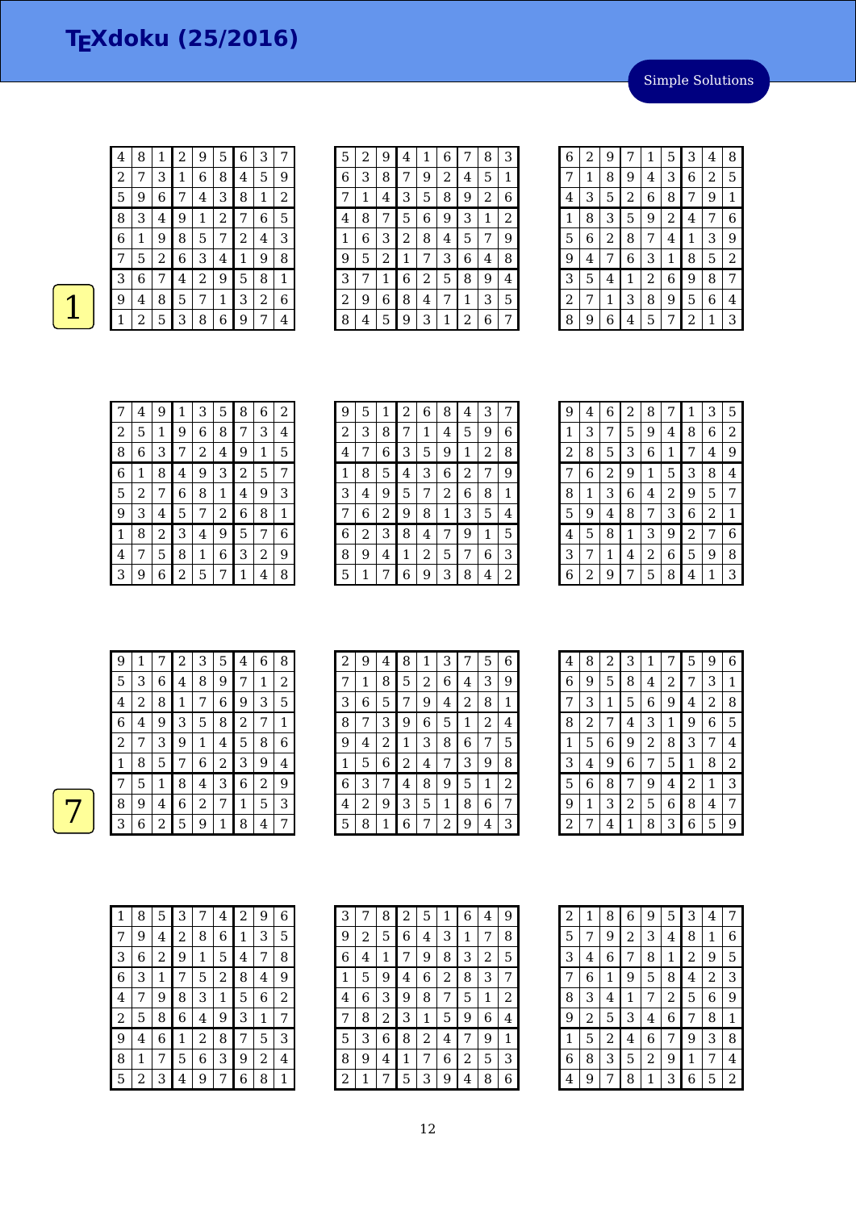4 | 8 | 1 | 2 | 9 | 5 | 6 | 3 | 7

Simple Solutions

| 2 |   | З |   | 6              | 8 | 4 | 5              | 9           |
|---|---|---|---|----------------|---|---|----------------|-------------|
| 5 | 9 | 6 |   | 4              | З | 8 | $\mathbf{1}$   | 2           |
| 8 | 3 | 4 | 9 | 1              | 2 | 7 | 6              | 5           |
| 6 | 1 | 9 | 8 | 5              | 7 | 2 | 4              | 3           |
|   | 5 | 2 | 6 | 3              | 4 | 1 | 9              | 8           |
| 3 | 6 |   | 4 | $\overline{2}$ | 9 | 5 | 8              | $\mathbf 1$ |
| 9 | 4 | 8 | 5 | 7              | 1 | З | $\overline{c}$ | 6           |
|   | 2 | 5 | 3 | 8              | 6 | 9 | 7              | 4           |
|   |   |   |   |                |   |   |                |             |

| 5 | 2 | 9 | 4 | 1              | 6 | 7 | 8 | З |
|---|---|---|---|----------------|---|---|---|---|
| 6 | 3 | 8 | 7 | 9              | 2 | 4 | 5 | 1 |
| 7 | 1 | 4 | З | 5              | 8 | 9 | 2 | 6 |
| 4 | 8 | 7 | 5 | 6              | 9 | 3 | 1 | 2 |
| 1 | 6 | 3 | 2 | 8              | 4 | 5 | 7 | 9 |
| 9 | 5 | 2 | 1 | 7              | З | 6 | 4 | 8 |
| 3 | 7 | 1 | 6 | $\overline{c}$ | 5 | 8 | 9 | 4 |
| 2 | 9 | 6 | 8 | 4              | 7 | 1 | З | 5 |
| 8 | 4 | 5 | 9 | 3              | 1 | 2 | 6 | 7 |

| 6 | 2 | 9 | 7              | 1              | 5              | 3              | 4 | 8 |
|---|---|---|----------------|----------------|----------------|----------------|---|---|
| 7 | 1 | 8 | 9              | 4              | 3              | 6              | 2 | 5 |
| 4 | 3 | 5 | $\overline{c}$ | 6              | 8              | 7              | 9 | 1 |
| 1 | 8 | 3 | 5              | 9              | $\overline{c}$ | 4              | 7 | 6 |
| 5 | 6 | 2 | 8              | 7              | 4              | 1              | 3 | 9 |
| 9 | 4 | 7 | 6              | З              | 1              | 8              | 5 | 2 |
| 3 | 5 | 4 | 1              | $\overline{c}$ | 6              | 9              | 8 | 7 |
| 2 | 7 | 1 | 3              | 8              | 9              | 5              | 6 | 4 |
| 8 | 9 | 6 | 4              | 5              | 7              | $\overline{c}$ | 1 | З |

|   | 4 | 9 | 1 | 3 | 5 | 8              | 6 | 2 |
|---|---|---|---|---|---|----------------|---|---|
| 2 | 5 | 1 | 9 | 6 | 8 | 7              | З | 4 |
| 8 | 6 | З | 7 | 2 | 4 | 9              | 1 | 5 |
| 6 | 1 | 8 | 4 | 9 | 3 | $\overline{c}$ | 5 | 7 |
| 5 | 2 | 7 | 6 | 8 | 1 | 4              | 9 | 3 |
| 9 | З | 4 | 5 | 7 | 2 | 6              | 8 | 1 |
| 1 | 8 | 2 | 3 | 4 | 9 | 5              | 7 | 6 |
| 4 | 7 | 5 | 8 | 1 | 6 | 3              | 2 | 9 |
| З | 9 | 6 | 2 | 5 | 7 | 1              | 4 | 8 |

| 9 | 5 | 1 | 2 | 6 | 8 | $\overline{4}$ | 3 | 7 |
|---|---|---|---|---|---|----------------|---|---|
| 2 | 3 | 8 | 7 | 1 | 4 | 5              | 9 | 6 |
| 4 | 7 | 6 | 3 | 5 | 9 | 1              | 2 | 8 |
| 1 | 8 | 5 | 4 | 3 | 6 | 2              | 7 | 9 |
| 3 | 4 | 9 | 5 | 7 | 2 | 6              | 8 | 1 |
|   | 6 | 2 | 9 | 8 | 1 | 3              | 5 | 4 |
| 6 | 2 | 3 | 8 | 4 | 7 | 9              | 1 | 5 |
| 8 | 9 | 4 | 1 | 2 | 5 | 7              | 6 | 3 |
| 5 |   | 7 | 6 | 9 | З | 8              | 4 | 2 |

| 9 | 4 | 6 | 2 | 8 | 7 | 1              | З | 5 |
|---|---|---|---|---|---|----------------|---|---|
| 1 | 3 | 7 | 5 | 9 | 4 | 8              | 6 | 2 |
| 2 | 8 | 5 | З | 6 | 1 | 7              | 4 | 9 |
| 7 | 6 | 2 | 9 | 1 | 5 | 3              | 8 | 4 |
| 8 | 1 | З | 6 | 4 | 2 | 9              | 5 | 7 |
| 5 | 9 | 4 | 8 | 7 | З | 6              | 2 | 1 |
| 4 | 5 | 8 | 1 | 3 | 9 | $\overline{c}$ | 7 | 6 |
| 3 | 7 | 1 | 4 | 2 | 6 | 5              | 9 | 8 |
| 6 | 2 | 9 |   | 5 | 8 | 4              | 1 | 3 |

| 9 | 1 | 7 | 2            | 3 | 5 | 4 | 6              | 8 |
|---|---|---|--------------|---|---|---|----------------|---|
| 5 | 3 | 6 | 4            | 8 | 9 | 7 | 1              | 2 |
| 4 | 2 | 8 | $\mathbf{1}$ | 7 | 6 | 9 | 3              | 5 |
| 6 | 4 | 9 | 3            | 5 | 8 | 2 | 7              | 1 |
| 2 | 7 | З | 9            | 1 | 4 | 5 | 8              | 6 |
| 1 | 8 | 5 | 7            | 6 | 2 | З | 9              | 4 |
| 7 | 5 | 1 | 8            | 4 | 3 | 6 | $\overline{2}$ | 9 |
| 8 | 9 | 4 | 6            | 2 | 7 | 1 | 5              | 3 |
| З | 6 | 2 | 5            | 9 | 1 | 8 | $\overline{4}$ | 7 |

| 2 | 9 | 4 | 8              | 1              | 3              | 7 | 5              | 6 |
|---|---|---|----------------|----------------|----------------|---|----------------|---|
| 7 | 1 | 8 | 5              | $\overline{c}$ | 6              | 4 | 3              | 9 |
| 3 | 6 | 5 | 7              | 9              | 4              | 2 | 8              | 1 |
| 8 | 7 | 3 | 9              | 6              | 5              | 1 | $\overline{2}$ | 4 |
| 9 | 4 | 2 | $\mathbf 1$    | 3              | 8              | 6 | 7              | 5 |
| 1 | 5 | 6 | $\overline{2}$ | 4              | 7              | 3 | 9              | 8 |
| 6 | 3 | 7 | 4              | 8              | 9              | 5 | 1              | 2 |
| 4 | 2 | 9 | 3              | 5              | 1              | 8 | 6              | 7 |
| 5 | 8 | 1 | 6              | 7              | $\overline{2}$ | 9 | 4              | 3 |

| 4 | 8 | 2 | 3 | 1 |   | 5 | 9 | 6 |
|---|---|---|---|---|---|---|---|---|
| 6 | 9 | 5 | 8 | 4 | 2 | 7 | З | 1 |
| 7 | З | 1 | 5 | 6 | 9 | 4 | 2 | 8 |
| 8 | 2 | 7 | 4 | З | 1 | 9 | 6 | 5 |
| 1 | 5 | 6 | 9 | 2 | 8 | 3 | 7 | 4 |
| 3 | 4 | 9 | 6 | 7 | 5 | 1 | 8 | 2 |
| 5 | 6 | 8 | 7 | 9 | 4 | 2 | 1 | 3 |
| 9 | 1 | 3 | 2 | 5 | 6 | 8 | 4 | 7 |
| 2 | 7 | 4 | 1 | 8 | 3 | 6 | 5 | 9 |

| 1 | 8 | 5 | З | 7 | 4 | 2 | 9 | 6 |
|---|---|---|---|---|---|---|---|---|
| 7 | 9 | 4 | 2 | 8 | 6 | 1 | З | 5 |
| З | 6 | 2 | 9 | 1 | 5 | 4 | 7 | 8 |
| 6 | 3 | 1 | 7 | 5 | 2 | 8 | 4 | 9 |
| 4 | 7 | 9 | 8 | 3 | 1 | 5 | 6 | 2 |
| 2 | 5 | 8 | 6 | 4 | 9 | 3 | 1 | 7 |
| 9 | 4 | 6 | 1 | 2 | 8 | 7 | 5 | 3 |
| 8 | 1 | 7 | 5 | 6 | 3 | 9 | 2 | 4 |
| 5 | 2 | З | 4 | 9 | 7 | 6 | 8 | 1 |

| 3 | 7 | 8 | 2 | 5 | 1 | 6 | 4 | 9 |
|---|---|---|---|---|---|---|---|---|
| 9 | 2 | 5 | 6 | 4 | 3 | 1 | 7 | 8 |
| 6 | 4 | 1 |   | 9 | 8 | 3 | 2 | 5 |
| 1 | 5 | 9 | 4 | 6 | 2 | 8 | 3 | 7 |
| 4 | 6 | З | 9 | 8 | 7 | 5 | 1 | 2 |
| 7 | 8 | 2 | З | 1 | 5 | 9 | 6 | 4 |
| 5 | 3 | 6 | 8 | 2 | 4 | 7 | 9 | 1 |
| 8 | 9 | 4 | 1 | 7 | 6 | 2 | 5 | 3 |
| 2 | 1 |   | 5 | 3 | 9 | 4 | 8 | 6 |

| $\overline{c}$ | 1 | 8 | 6 | 9 | 5 | 3 | 4 | 7 |
|----------------|---|---|---|---|---|---|---|---|
| 5              | 7 | 9 | 2 | 3 | 4 | 8 | 1 | 6 |
| 3              | 4 | 6 | 7 | 8 | 1 | 2 | 9 | 5 |
| 7              | 6 | 1 | 9 | 5 | 8 | 4 | 2 | 3 |
| 8              | 3 | 4 | 1 | 7 | 2 | 5 | 6 | 9 |
| g              | 2 | 5 | З | 4 | 6 | 7 | 8 | 1 |
| 1              | 5 | 2 | 4 | 6 | 7 | 9 | 3 | 8 |
| 6              | 8 | З | 5 | 2 | 9 | 1 | 7 | 4 |
| 4              | 9 |   | 8 | 1 | 3 | 6 | 5 | 2 |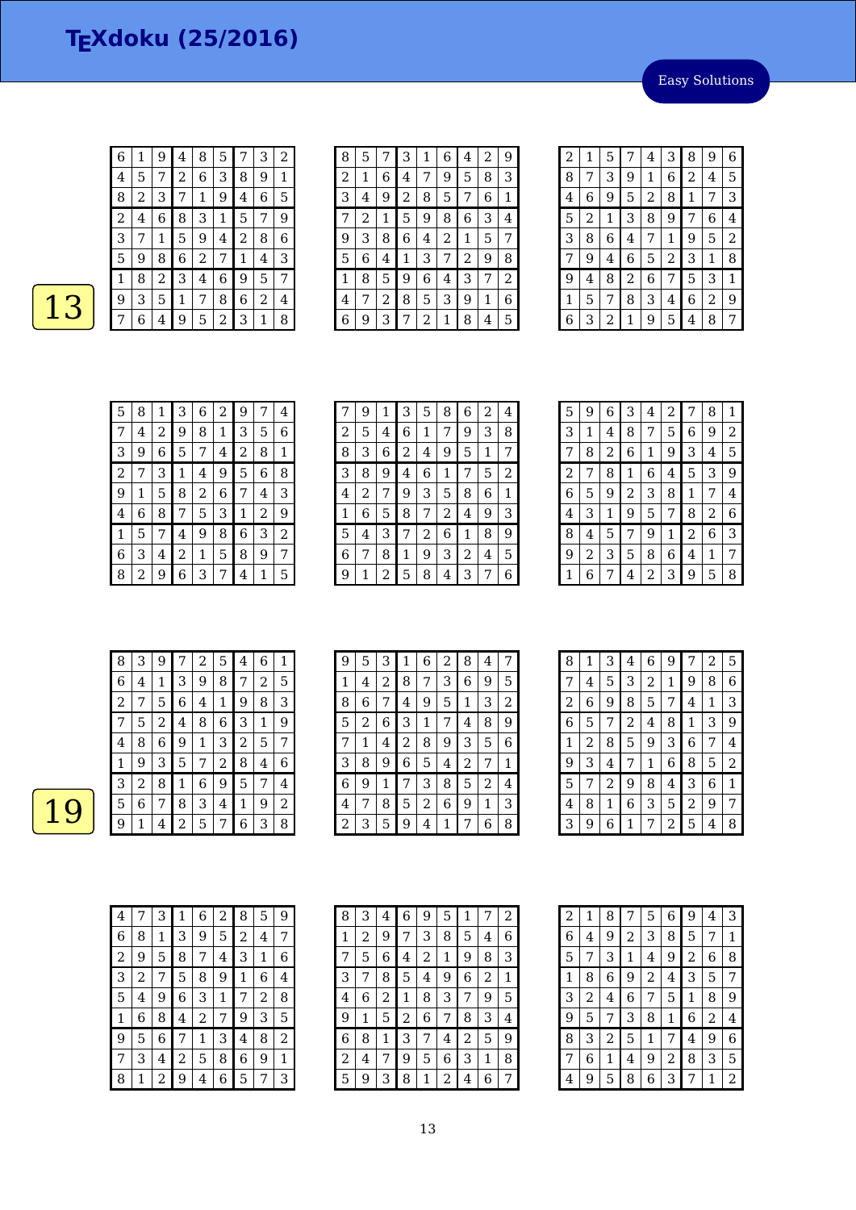Easy Solutions

| 6 | 1 | 9                       | 4     | 8                | 5              |   | 3              | 2 |
|---|---|-------------------------|-------|------------------|----------------|---|----------------|---|
| 4 | 5 | 7                       | 2     | 6                | 3              | 8 | 9              | 1 |
| 8 | 2 | 3                       | 7     | $\mathbf{1}$     | 9              | 4 | 6              | 5 |
| 2 | 4 | 6                       | 8     | 3                | 1              | 5 | 7              | 9 |
| З | 7 | 1                       | 5     | 9                | 4              | 2 | 8              | 6 |
| 5 | 9 | 8                       | 6     | $\boldsymbol{2}$ | 7              | 1 | $\overline{4}$ | 3 |
| 1 | 8 | $\overline{\mathbf{c}}$ | 3     | $\overline{4}$   | 6              | 9 | 5              | 7 |
| 9 | 3 | 5                       | $1\,$ | 7                | 8              | 6 | 2              | 4 |
| 7 | 6 | 4                       | 9     | 5                | $\overline{c}$ | 3 | 1              | 8 |

| 8 | 5 |   | З              | 1 | 6 | 4 | $\overline{2}$ | 9 |
|---|---|---|----------------|---|---|---|----------------|---|
| 2 | 1 | 6 | 4              | 7 | 9 | 5 | 8              | 3 |
| 3 | 4 | 9 | $\overline{c}$ | 8 | 5 | 7 | 6              | 1 |
| 7 | 2 | 1 | 5              | 9 | 8 | 6 | 3              | 4 |
| 9 | 3 | 8 | 6              | 4 | 2 | 1 | 5              | 7 |
| 5 | 6 | 4 | 1              | 3 | 7 | 2 | 9              | 8 |
| 1 | 8 | 5 | 9              | 6 | 4 | 3 | 7              | 2 |
| 4 | 7 | 2 | 8              | 5 | 3 | 9 | 1              | 6 |
| 6 | 9 | 3 | 7              | 2 | 1 | 8 | 4              | 5 |

| 2 | 1 | 5 | 7              | 4              | З              | 8            | 9 | 6 |
|---|---|---|----------------|----------------|----------------|--------------|---|---|
| 8 | 7 | 3 | 9              | 1              | 6              | 2            | 4 | 5 |
| 4 | 6 | 9 | 5              | $\overline{c}$ | 8              | $\mathbf{1}$ | 7 | 3 |
| 5 | 2 | 1 | 3              | 8              | 9              | 7            | 6 | 4 |
| 3 | 8 | 6 | 4              | 7              | 1              | 9            | 5 | 2 |
| 7 | 9 | 4 | 6              | 5              | $\overline{c}$ | 3            | 1 | 8 |
| 9 | 4 | 8 | $\overline{c}$ | 6              | 7              | 5            | 3 | 1 |
| 1 | 5 | 7 | 8              | З              | 4              | 6            | 2 | 9 |
| 6 | З | 2 | 1              | 9              | 5              | 4            | 8 | 7 |

| 5 | 8 | 1 | З | 6 | 2 | 9              | 7 | 4 |
|---|---|---|---|---|---|----------------|---|---|
| 7 | 4 | 2 | 9 | 8 | 1 | 3              | 5 | 6 |
| 3 | 9 | 6 | 5 | 7 | 4 | $\overline{c}$ | 8 | 1 |
| 2 | 7 | 3 | 1 | 4 | 9 | 5              | 6 | 8 |
| 9 | 1 | 5 | 8 | 2 | 6 | 7              | 4 | 3 |
| 4 | 6 | 8 | 7 | 5 | 3 | 1              | 2 | 9 |
| 1 | 5 | 7 | 4 | 9 | 8 | 6              | 3 | 2 |
| 6 | З | 4 | 2 | 1 | 5 | 8              | 9 | 7 |
| 8 | 2 | 9 | 6 | З | 7 | 4              | 1 | 5 |

|   | 9 | 1 | 3              | 5 | 8 | 6 | 2 | 4 |
|---|---|---|----------------|---|---|---|---|---|
| 2 | 5 | 4 | 6              | 1 | 7 | 9 | 3 | 8 |
| 8 | 3 | 6 | $\overline{c}$ | 4 | 9 | 5 | 1 | 7 |
| 3 | 8 | 9 | 4              | 6 | 1 | 7 | 5 | 2 |
| 4 | 2 | 7 | 9              | 3 | 5 | 8 | 6 | 1 |
| 1 | 6 | 5 | 8              | 7 | 2 | 4 | 9 | 3 |
| 5 | 4 | З | 7              | 2 | 6 | 1 | 8 | 9 |
| 6 | 7 | 8 | 1              | 9 | 3 | 2 | 4 | 5 |
| 9 | 1 | 2 | 5              | 8 | 4 | 3 | 7 | 6 |

| 5                | 9 | 6 | 3 | 4 | 2 | 7 | 8 | 1 |
|------------------|---|---|---|---|---|---|---|---|
| 3                | 1 | 4 | 8 | 7 | 5 | 6 | 9 | 2 |
| 7                | 8 | 2 | 6 | 1 | 9 | 3 | 4 | 5 |
| $\overline{2}$   | 7 | 8 | 1 | 6 | 4 | 5 | 3 | 9 |
| $\boldsymbol{6}$ | 5 | 9 | 2 | З | 8 | 1 | 7 | 4 |
| 4                | 3 | 1 | 9 | 5 | 7 | 8 | 2 | 6 |
| 8                | 4 | 5 | 7 | 9 | 1 | 2 | 6 | 3 |
| 9                | 2 | 3 | 5 | 8 | 6 | 4 | 1 | 7 |
| 1                | 6 | 7 | 4 | 2 | 3 | 9 | 5 | 8 |

| 8              | З | 9 | 7 | 2 | 5 | 4 | 6 | 1 |
|----------------|---|---|---|---|---|---|---|---|
| 6              | 4 | 1 | З | 9 | 8 | 7 | 2 | 5 |
| $\overline{2}$ | 7 | 5 | 6 | 4 | 1 | 9 | 8 | З |
|                | 5 | 2 | 4 | 8 | 6 | 3 | 1 | 9 |
| 4              | 8 | 6 | 9 | 1 | 3 | 2 | 5 | 7 |
| 1              | 9 | З | 5 | 7 | 2 | 8 | 4 | 6 |
| З              | 2 | 8 | 1 | 6 | 9 | 5 | 7 | 4 |
| 5              | 6 | 7 | 8 | 3 | 4 | 1 | 9 | 2 |
| 9              | 1 | 4 | 2 | 5 | 7 | 6 | З | 8 |

| 9 | 5 | 3 | 1              | 6           | 2 | 8 | 4 | 7 |
|---|---|---|----------------|-------------|---|---|---|---|
| 1 | 4 | 2 | 8              | 7           | 3 | 6 | 9 | 5 |
| 8 | 6 | 7 | 4              | 9           | 5 | 1 | 3 | 2 |
| 5 | 2 | 6 | 3              | $\mathbf 1$ | 7 | 4 | 8 | 9 |
| 7 | 1 | 4 | $\overline{c}$ | 8           | 9 | 3 | 5 | 6 |
| 3 | 8 | 9 | 6              | 5           | 4 | 2 | 7 | 1 |
| 6 | 9 | 1 | 7              | 3           | 8 | 5 | 2 | 4 |
| 4 | 7 | 8 | 5              | 2           | 6 | 9 | 1 | 3 |
| 2 | 3 | 5 | 9              | 4           | 1 | 7 | 6 | 8 |

| 8 | 1 | З | 4 | 6 | 9 | 7 | 2 | 5 |
|---|---|---|---|---|---|---|---|---|
| 7 | 4 | 5 | 3 | 2 | 1 | 9 | 8 | 6 |
| 2 | 6 | 9 | 8 | 5 | 7 | 4 | 1 | 3 |
| 6 | 5 | 7 | 2 | 4 | 8 | 1 | З | 9 |
| 1 | 2 | 8 | 5 | 9 | 3 | 6 | 7 | 4 |
| 9 | 3 | 4 | 7 | 1 | 6 | 8 | 5 | 2 |
| 5 | 7 | 2 | 9 | 8 | 4 | 3 | 6 | 1 |
| 4 | 8 | 1 | 6 | 3 | 5 | 2 | 9 | 7 |
| 3 | 9 | 6 | 1 | 7 | 2 | 5 | 4 | 8 |

| 4              | 7 | З | 1 | 6 | 2 | 8 | 5 | 9 |
|----------------|---|---|---|---|---|---|---|---|
| 6              | 8 | 1 | З | 9 | 5 | 2 | 4 | 7 |
| $\overline{c}$ | 9 | 5 | 8 | 7 | 4 | 3 | 1 | 6 |
| 3              | 2 | 7 | 5 | 8 | 9 | 1 | 6 | 4 |
| 5              | 4 | 9 | 6 | 3 | 1 | 7 | 2 | 8 |
| 1              | 6 | 8 | 4 | 2 | 7 | 9 | 3 | 5 |
| 9              | 5 | 6 |   | 1 | 3 | 4 | 8 | 2 |
| 7              | 3 | 4 | 2 | 5 | 8 | 6 | 9 | 1 |
| 8              |   | 2 | 9 | 4 | 6 | 5 |   | 3 |

| 8 | З | 4 | 6 | 9 | 5 | 1 |   | 2 |
|---|---|---|---|---|---|---|---|---|
| 1 | 2 | 9 | 7 | З | 8 | 5 | 4 | 6 |
| 7 | 5 | 6 | 4 | 2 | 1 | 9 | 8 | 3 |
| 3 | 7 | 8 | 5 | 4 | 9 | 6 | 2 | 1 |
| 4 | 6 | 2 | 1 | 8 | 3 |   | 9 | 5 |
| 9 | 1 | 5 | 2 | 6 | 7 | 8 | 3 | 4 |
| 6 | 8 | 1 | З | 7 | 4 | 2 | 5 | 9 |
| 2 | 4 | 7 | 9 | 5 | 6 | 3 | 1 | 8 |
| 5 | 9 | 3 | 8 | 1 | 2 | 4 | 6 | 7 |

 $\overline{\phantom{a}}$ 

| $\overline{c}$ | 1 | 8              | 7 | 5              | 6              | 9 | 4 | З              |
|----------------|---|----------------|---|----------------|----------------|---|---|----------------|
| 6              | 4 | 9              | 2 | 3              | 8              | 5 | 7 | 1              |
| 5              | 7 | 3              | 1 | 4              | 9              | 2 | 6 | 8              |
| 1              | 8 | 6              | 9 | $\overline{c}$ | 4              | 3 | 5 | 7              |
| 3              | 2 | 4              | 6 | 7              | 5              | 1 | 8 | 9              |
| 9              | 5 | 7              | 3 | 8              | 1              | 6 | 2 | $\overline{4}$ |
| 8              | 3 | $\overline{c}$ | 5 | 1              | 7              | 4 | 9 | 6              |
| 7              | 6 | 1              | 4 | 9              | $\overline{c}$ | 8 | З | 5              |
| 4              | 9 | 5              | 8 | 6              | 3              | 7 | 1 | 2              |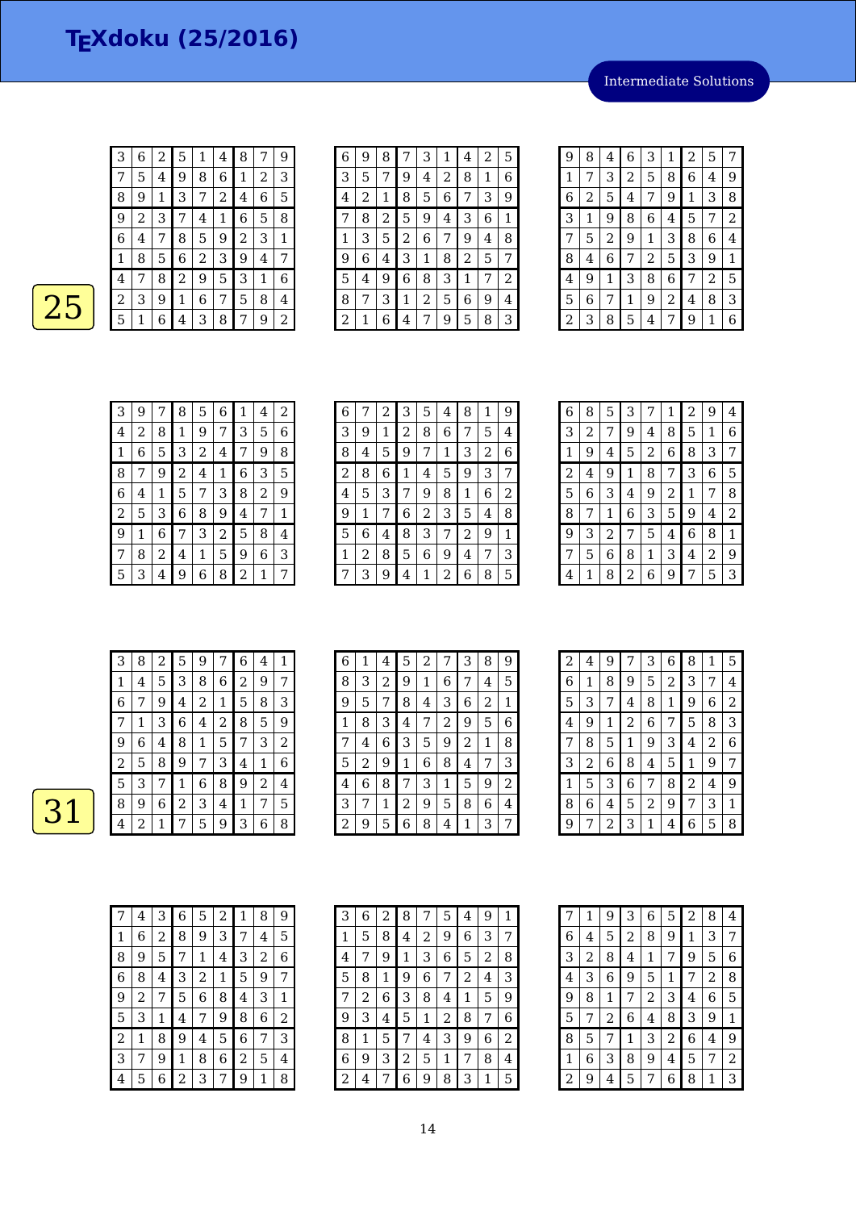Intermediate Solutions

| $\overline{3}$ |
|----------------|
| 7              |
| 8              |
| $\overline{9}$ |
| $\overline{6}$ |
| $\mathbf 1$    |
| $\overline{4}$ |
| $\overline{2}$ |
| 5              |
|                |

| 3              | 6              | 2 | 5              | 1 | 4 | 8              | 7 | 9 |  |
|----------------|----------------|---|----------------|---|---|----------------|---|---|--|
| 7              | 5              | 4 | 9              | 8 | 6 | 1              | 2 | 3 |  |
| 8              | 9              | 1 | 3              | 7 | 2 | 4              | 6 | 5 |  |
| 9              | $\overline{2}$ | 3 | 7              | 4 | 1 | 6              | 5 | 8 |  |
| 6              | 4              | 7 | 8              | 5 | 9 | $\overline{2}$ | 3 | 1 |  |
| 1              | 8              | 5 | 6              | 2 | 3 | 9              | 4 | 7 |  |
| 4              | 7              | 8 | $\overline{2}$ | 9 | 5 | 3              | 1 | 6 |  |
| $\overline{2}$ | 3              | 9 | 1              | 6 | 7 | 5              | 8 | 4 |  |
| 5              | 1              | 6 | 4              | 3 | 8 | 7              | 9 | 2 |  |

| 6 | 9 | 8 |   | 3 | 1 | 4 | 2 | 5 |
|---|---|---|---|---|---|---|---|---|
| 3 | 5 |   | 9 | 4 | 2 | 8 | 1 | 6 |
| 4 | 2 | 1 | 8 | 5 | 6 | 7 | 3 | 9 |
| 7 | 8 | 2 | 5 | 9 | 4 | 3 | 6 | 1 |
| 1 | 3 | 5 | 2 | 6 | 7 | 9 | 4 | 8 |
| 9 | 6 | 4 | 3 | 1 | 8 | 2 | 5 | 7 |
| 5 | 4 | 9 | 6 | 8 | 3 | 1 | 7 | 2 |
| 8 | 7 | 3 | 1 | 2 | 5 | 6 | 9 | 4 |
| 2 | 1 | 6 | 4 | 7 | 9 | 5 | 8 | 3 |

| 9            | 8 | 4 | 6 | 3 | 1 | 2 | 5 | 7                |
|--------------|---|---|---|---|---|---|---|------------------|
| $\mathbf{1}$ | 7 | 3 | 2 | 5 | 8 | 6 | 4 | 9                |
| 6            | 2 | 5 | 4 | 7 | 9 | 1 | 3 | 8                |
| 3            | 1 | 9 | 8 | 6 | 4 | 5 | 7 | $\boldsymbol{2}$ |
| 7            | 5 | 2 | 9 | 1 | 3 | 8 | 6 | 4                |
| 8            | 4 | 6 | 7 | 2 | 5 | 3 | 9 | 1                |
| 4            | 9 | 1 | 3 | 8 | 6 | 7 | 2 | 5                |
| 5            | 6 | 7 | 1 | 9 | 2 | 4 | 8 | 3                |
| 2            | 3 | 8 | 5 | 4 | 7 | 9 | 1 | 6                |

| 3 | 9 | 7 | 8 | 5 | 6 | 1 | 4 | 2 |
|---|---|---|---|---|---|---|---|---|
| 4 | 2 | 8 | 1 | 9 | 7 | 3 | 5 | 6 |
| 1 | 6 | 5 | 3 | 2 | 4 | 7 | 9 | 8 |
| 8 | 7 | 9 | 2 | 4 | 1 | 6 | 3 | 5 |
| 6 | 4 | 1 | 5 | 7 | 3 | 8 | 2 | 9 |
| 2 | 5 | 3 | 6 | 8 | 9 | 4 | 7 | 1 |
| 9 | 1 | 6 | 7 | 3 | 2 | 5 | 8 | 4 |
| 7 | 8 | 2 | 4 | 1 | 5 | 9 | 6 | 3 |
| 5 | 3 | 4 | 9 | 6 | 8 | 2 | 1 | 7 |

| 6 | 7 | 2 | 3 | 5 | 4 | 8 | 1 | 9 |
|---|---|---|---|---|---|---|---|---|
| 3 | 9 | 1 | 2 | 8 | 6 | 7 | 5 | 4 |
| 8 | 4 | 5 | 9 | 7 | 1 | 3 | 2 | 6 |
| 2 | 8 | 6 | 1 | 4 | 5 | 9 | 3 | 7 |
| 4 | 5 | 3 | 7 | 9 | 8 | 1 | 6 | 2 |
| 9 | 1 | 7 | 6 | 2 | 3 | 5 | 4 | 8 |
| 5 | 6 | 4 | 8 | 3 | 7 | 2 | 9 | 1 |
| 1 | 2 | 8 | 5 | 6 | 9 | 4 | 7 | 3 |
| 7 | 3 | 9 | 4 | 1 | 2 | 6 | 8 | 5 |

| 6              | 8 | 5 | З |   | 1 | 2 | 9 | 4 |
|----------------|---|---|---|---|---|---|---|---|
| 3              | 2 | 7 | 9 | 4 | 8 | 5 | 1 | 6 |
| 1              | 9 | 4 | 5 | 2 | 6 | 8 | З | 7 |
| $\overline{2}$ | 4 | 9 | 1 | 8 | 7 | 3 | 6 | 5 |
| 5              | 6 | З | 4 | 9 | 2 | 1 | 7 | 8 |
| 8              | 7 | 1 | 6 | 3 | 5 | 9 | 4 | 2 |
| 9              | З | 2 | 7 | 5 | 4 | 6 | 8 | 1 |
| 7              | 5 | 6 | 8 | 1 | 3 | 4 | 2 | 9 |
| 4              | 1 | 8 | 2 | 6 | 9 |   | 5 | З |

| 3 | 8 | 2 | 5 | 9 |   | 6 | 4              | 1 |
|---|---|---|---|---|---|---|----------------|---|
| 1 | 4 | 5 | 3 | 8 | 6 | 2 | 9              | 7 |
| 6 | 7 | 9 | 4 | 2 | 1 | 5 | 8              | 3 |
|   | 1 | 3 | 6 | 4 | 2 | 8 | 5              | 9 |
| 9 | 6 | 4 | 8 | 1 | 5 | 7 | 3              | 2 |
| 2 | 5 | 8 | 9 | 7 | 3 | 4 | 1              | 6 |
| 5 | 3 | 7 | 1 | 6 | 8 | 9 | $\overline{2}$ | 4 |
| 8 | 9 | 6 | 2 | 3 | 4 | 1 | 7              | 5 |
| 4 | 2 | 1 |   | 5 | 9 | З | 6              | 8 |

| 6 | 1 | 4 | 5            | 2 |   | 3 | 8 | 9 |
|---|---|---|--------------|---|---|---|---|---|
| 8 | 3 | 2 | 9            | 1 | 6 | 7 | 4 | 5 |
| 9 | 5 | 7 | 8            | 4 | З | 6 | 2 | 1 |
| 1 | 8 | 3 | 4            | 7 | 2 | 9 | 5 | 6 |
| 7 | 4 | 6 | 3            | 5 | 9 | 2 | 1 | 8 |
| 5 | 2 | 9 | $\mathbf{1}$ | 6 | 8 | 4 | 7 | 3 |
| 4 | 6 | 8 | 7            | 3 | 1 | 5 | 9 | 2 |
| 3 | 7 | 1 | 2            | 9 | 5 | 8 | 6 | 4 |
| 2 | 9 | 5 | 6            | 8 | 4 | 1 | 3 | 7 |

| 2                       | 4 | 9              | 7 | 3 | 6              | 8              | 1 | 5 |
|-------------------------|---|----------------|---|---|----------------|----------------|---|---|
| 6                       | 1 | 8              | 9 | 5 | $\overline{c}$ | 3              | 7 | 4 |
| 5                       | 3 | 7              | 4 | 8 | $\mathbf{1}$   | 9              | 6 | 2 |
| $\overline{\mathbf{4}}$ | 9 | 1              | 2 | 6 | 7              | 5              | 8 | 3 |
| 7                       | 8 | 5              | 1 | 9 | 3              | 4              | 2 | 6 |
| 3                       | 2 | 6              | 8 | 4 | 5              | $\mathbf{1}$   | 9 | 7 |
| 1                       | 5 | 3              | 6 | 7 | 8              | $\overline{2}$ | 4 | 9 |
| 8                       | 6 | 4              | 5 | 2 | 9              | 7              | 3 | 1 |
| 9                       | 7 | $\overline{c}$ | 3 | 1 | 4              | 6              | 5 | 8 |

|   | 4 | 3 | 6 | 5 | 2 | 1 | 8 | 9 |
|---|---|---|---|---|---|---|---|---|
| 1 | 6 | 2 | 8 | 9 | 3 | 7 | 4 | 5 |
| 8 | 9 | 5 | 7 | 1 | 4 | З | 2 | 6 |
| 6 | 8 | 4 | 3 | 2 | 1 | 5 | 9 | 7 |
| 9 | 2 | 7 | 5 | 6 | 8 | 4 | 3 | 1 |
| 5 | 3 | 1 | 4 | 7 | 9 | 8 | 6 | 2 |
| 2 | 1 | 8 | 9 | 4 | 5 | 6 | 7 | 3 |
| 3 | 7 | 9 | 1 | 8 | 6 | 2 | 5 | 4 |
| 4 | 5 | 6 | 2 | 3 |   | 9 | 1 | 8 |

| 3 | 6 | 2 | 8 | 7 | 5 | 4 | 9 | 1 |
|---|---|---|---|---|---|---|---|---|
| 1 | 5 | 8 | 4 | 2 | 9 | 6 | 3 | 7 |
| 4 |   | 9 | 1 | 3 | 6 | 5 | 2 | 8 |
| 5 | 8 | 1 | 9 | 6 | 7 | 2 | 4 | 3 |
| 7 | 2 | 6 | З | 8 | 4 | 1 | 5 | 9 |
| 9 | 3 | 4 | 5 | 1 | 2 | 8 | 7 | 6 |
| 8 | 1 | 5 | 7 | 4 | 3 | 9 | 6 | 2 |
| 6 | 9 | 3 | 2 | 5 | 1 | 7 | 8 | 4 |
| 2 | 4 | 7 | 6 | 9 | 8 | 3 | 1 | 5 |

| 7 | 1 | 9 | З | 6 | 5              | $\overline{c}$ | 8              | 4              |
|---|---|---|---|---|----------------|----------------|----------------|----------------|
| 6 | 4 | 5 | 2 | 8 | 9              | 1              | 3              | 7              |
| 3 | 2 | 8 | 4 | 1 | 7              | 9              | 5              | 6              |
| 4 | 3 | 6 | 9 | 5 | 1              | 7              | $\overline{c}$ | 8              |
| 9 | 8 | 1 | 7 | 2 | 3              | 4              | 6              | 5              |
| 5 | 7 | 2 | 6 | 4 | 8              | 3              | 9              | 1              |
| 8 | 5 | 7 | 1 | 3 | $\overline{c}$ | 6              | 4              | 9              |
| 1 | 6 | З | 8 | 9 | 4              | 5              | 7              | $\overline{c}$ |
| 2 | 9 | 4 | 5 | 7 | 6              | 8              | 1              | З              |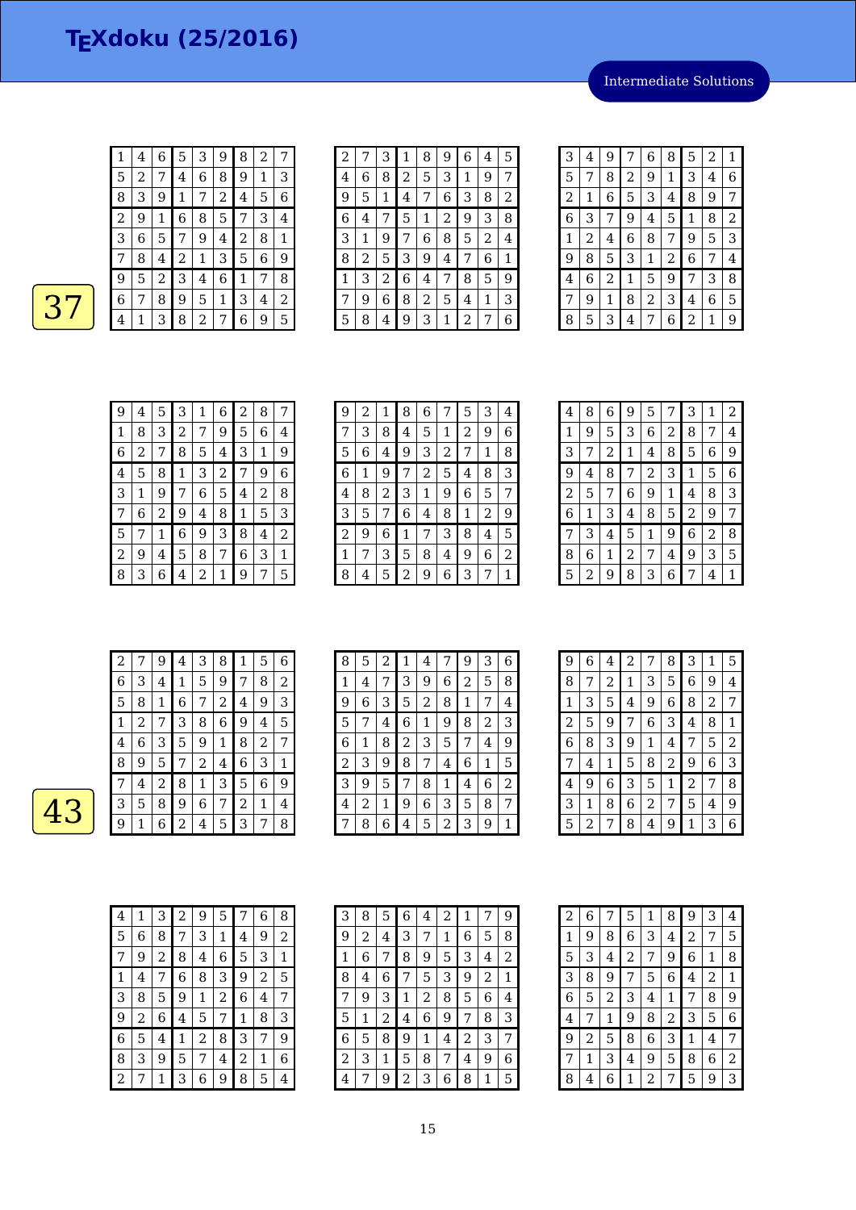1 4 6 5 3 9 8 2 7<br>5 2 7 4 6 8 9 1 3 2 7 4 6 8 9 1 3

Intermediate Solutions

| 8 | З | 9 | 1 |   | 2 | 4 | 5 | 6              |
|---|---|---|---|---|---|---|---|----------------|
| 2 | 9 |   | 6 | 8 | 5 |   | З | $\overline{4}$ |
| 3 | 6 | 5 |   | 9 | 4 | 2 | 8 | 1              |
|   | 8 | 4 | 2 | 1 | 3 | 5 | 6 | 9              |
| 9 | 5 | 2 | 3 | 4 | 6 |   |   | 8              |
| 6 |   | 8 | 9 | 5 | 1 | З | 4 | $\overline{2}$ |
|   |   | З | 8 | 2 |   | 6 | 9 | 5              |

| $\overline{c}$ | 7              | 3              | 1              | 8              | 9              | 6              | 4 | 5 |
|----------------|----------------|----------------|----------------|----------------|----------------|----------------|---|---|
| 4              | 6              | 8              | $\overline{2}$ | 5              | 3              | 1              | 9 | 7 |
| 9              | 5              | 1              | 4              | 7              | 6              | 3              | 8 | 2 |
| 6              | 4              | 7              | 5              | 1              | $\overline{c}$ | 9              | 3 | 8 |
| 3              | 1              | 9              | 7              | 6              | 8              | 5              | 2 | 4 |
| 8              | $\overline{c}$ | 5              | 3              | 9              | 4              | 7              | 6 | 1 |
| 1              | 3              | $\overline{2}$ | 6              | 4              | 7              | 8              | 5 | 9 |
| 7              | 9              | 6              | 8              | $\overline{2}$ | 5              | 4              | 1 | 3 |
| 5              | 8              | 4              | 9              | 3              | 1              | $\overline{2}$ | 7 | 6 |
|                |                |                |                |                |                |                |   |   |

| 3 | 4 | 9 | 7 | 6 | 8 | 5            | 2 | 1 |
|---|---|---|---|---|---|--------------|---|---|
| 5 | 7 | 8 | 2 | 9 | 1 | 3            | 4 | 6 |
| 2 | 1 | 6 | 5 | 3 | 4 | 8            | 9 | 7 |
| 6 | 3 | 7 | 9 | 4 | 5 | $\mathbf{1}$ | 8 | 2 |
| 1 | 2 | 4 | 6 | 8 | 7 | 9            | 5 | 3 |
| 9 | 8 | 5 | 3 | 1 | 2 | 6            | 7 | 4 |
| 4 | 6 | 2 | 1 | 5 | 9 | 7            | 3 | 8 |
| 7 | 9 | 1 | 8 | 2 | 3 | 4            | 6 | 5 |
| 8 | 5 | 3 | 4 | 7 | 6 | 2            | 1 | g |

| 9 | 4 | 5 | З | 1 | 6 | $\overline{2}$ | 8 |   |
|---|---|---|---|---|---|----------------|---|---|
| 1 | 8 | 3 | 2 | 7 | 9 | 5              | 6 | 4 |
| 6 | 2 |   | 8 | 5 | 4 | 3              | 1 | 9 |
| 4 | 5 | 8 | 1 | 3 | 2 | 7              | 9 | 6 |
| 3 | 1 | 9 | 7 | 6 | 5 | 4              | 2 | 8 |
| 7 | 6 | 2 | 9 | 4 | 8 | 1              | 5 | 3 |
| 5 | 7 | 1 | 6 | 9 | 3 | 8              | 4 | 2 |
| 2 | 9 | 4 | 5 | 8 | 7 | 6              | 3 | 1 |
| 8 | 3 | 6 | 4 | 2 | 1 | 9              | 7 | 5 |

| 9 | 2 | 1 | 8 | 6 | 7 | 5 | 3 | $\overline{4}$ |
|---|---|---|---|---|---|---|---|----------------|
| 7 | 3 | 8 | 4 | 5 | 1 | 2 | 9 | 6              |
| 5 | 6 | 4 | 9 | 3 | 2 | 7 | 1 | 8              |
| 6 | 1 | 9 |   | 2 | 5 | 4 | 8 | 3              |
| 4 | 8 | 2 | 3 | 1 | 9 | 6 | 5 | 7              |
| 3 | 5 |   | 6 | 4 | 8 | 1 | 2 | 9              |
| 2 | 9 | 6 | 1 | 7 | 3 | 8 | 4 | 5              |
| 1 | 7 | З | 5 | 8 | 4 | 9 | 6 | 2              |
| 8 | 4 | 5 | 2 | 9 | 6 | 3 | 7 | 1              |

| 4 | 8 | 6              | 9            | 5 |   | 3           | 1 | 2 |
|---|---|----------------|--------------|---|---|-------------|---|---|
| 1 | 9 | 5              | 3            | 6 | 2 | 8           | 7 | 4 |
| 3 | 7 | $\overline{c}$ | $\mathbf{1}$ | 4 | 8 | 5           | 6 | 9 |
| 9 | 4 | 8              | 7            | 2 | 3 | $\mathbf 1$ | 5 | 6 |
| 2 | 5 | 7              | 6            | 9 | 1 | 4           | 8 | 3 |
| 6 | 1 | 3              | 4            | 8 | 5 | 2           | 9 | 7 |
| 7 | 3 | 4              | 5            | 1 | 9 | 6           | 2 | 8 |
| 8 | 6 | 1              | 2            | 7 | 4 | 9           | 3 | 5 |
| 5 | 2 | 9              | 8            | З | 6 |             | 4 | 1 |

| 2 |   | 9 | 4 | З | 8 |                | 5 | 6 |
|---|---|---|---|---|---|----------------|---|---|
| 6 | 3 | 4 | 1 | 5 | 9 | 7              | 8 | 2 |
| 5 | 8 | 1 | 6 | 7 | 2 | 4              | 9 | 3 |
| 1 | 2 |   | З | 8 | 6 | 9              | 4 | 5 |
| 4 | 6 | 3 | 5 | 9 | 1 | 8              | 2 | 7 |
| 8 | 9 | 5 | 7 | 2 | 4 | 6              | 3 | 1 |
| 7 | 4 | 2 | 8 | 1 | З | 5              | 6 | 9 |
| 3 | 5 | 8 | 9 | 6 | 7 | $\overline{2}$ | 1 | 4 |
| g | 1 | 6 | 2 | 4 | 5 | 3              | 7 | 8 |

| 8 | 5 | 2 | 1 | 4              |   | 9 | 3     | 6 |
|---|---|---|---|----------------|---|---|-------|---|
| 1 | 4 | 7 | 3 | 9              | 6 | 2 | 5     | 8 |
| 9 | 6 | З | 5 | $\overline{c}$ | 8 | 1 | 7     | 4 |
| 5 | 7 | 4 | 6 | 1              | 9 | 8 | 2     | 3 |
| 6 | 1 | 8 | 2 | 3              | 5 | 7 | 4     | 9 |
| 2 | 3 | 9 | 8 | 7              | 4 | 6 | $1\,$ | 5 |
| 3 | 9 | 5 | 7 | 8              | 1 | 4 | 6     | 2 |
| 4 | 2 | 1 | 9 | 6              | 3 | 5 | 8     | 7 |
|   | 8 | 6 | 4 | 5              | 2 | 3 | 9     | 1 |

| 9 | 6 | 4 | 2 | 7 | 8 | 3 | 1 | 5 |
|---|---|---|---|---|---|---|---|---|
| 8 | 7 | 2 | 1 | З | 5 | 6 | 9 | 4 |
| 1 | З | 5 | 4 | 9 | 6 | 8 | 2 | 7 |
| 2 | 5 | 9 | 7 | 6 | 3 | 4 | 8 | 1 |
| 6 | 8 | 3 | 9 | 1 | 4 | 7 | 5 | 2 |
| 7 | 4 | 1 | 5 | 8 | 2 | 9 | 6 | 3 |
| 4 | 9 | 6 | 3 | 5 | 1 | 2 | 7 | 8 |
| 3 | 1 | 8 | 6 | 2 | 7 | 5 | 4 | 9 |
| 5 | 2 | 7 | 8 | 4 | 9 | 1 | 3 | 6 |

| 4              | 1 | 3 | $\overline{a}$ | 9              | 5 | 7 | 6 | 8 |
|----------------|---|---|----------------|----------------|---|---|---|---|
| 5              | 6 | 8 | 7              | 3              | 1 | 4 | 9 | 2 |
| 7              | 9 | 2 | 8              | 4              | 6 | 5 | 3 | 1 |
| 1              | 4 | 7 | 6              | 8              | З | 9 | 2 | 5 |
| 3              | 8 | 5 | 9              | 1              | 2 | 6 | 4 | 7 |
| 9              | 2 | 6 | 4              | 5              | 7 | 1 | 8 | 3 |
| 6              | 5 | 4 | 1              | $\overline{2}$ | 8 | 3 | 7 | 9 |
| 8              | 3 | 9 | 5              | 7              | 4 | 2 | 1 | 6 |
| $\overline{c}$ | 7 | 1 | 3              | 6              | 9 | 8 | 5 | 4 |

| 3 | 8 | 5 | 6              | 4 | 2 | 1 | 7 | 9 |
|---|---|---|----------------|---|---|---|---|---|
| 9 | 2 | 4 | З              | 7 | 1 | 6 | 5 | 8 |
| 1 | 6 |   | 8              | 9 | 5 | 3 | 4 | 2 |
| 8 | 4 | 6 | 7              | 5 | 3 | 9 | 2 | 1 |
| 7 | 9 | З | 1              | 2 | 8 | 5 | 6 | 4 |
| 5 | 1 | 2 | 4              | 6 | 9 | 7 | 8 | З |
| 6 | 5 | 8 | 9              | 1 | 4 | 2 | 3 | 7 |
| 2 | 3 | 1 | 5              | 8 | 7 | 4 | 9 | 6 |
| 4 | 7 | 9 | $\overline{c}$ | 3 | 6 | 8 | 1 | 5 |

| $\sqrt{2}$ | 6 | 7 | 5 | 1 | 8              | 9 | 3 | 4 |
|------------|---|---|---|---|----------------|---|---|---|
| 1          | 9 | 8 | 6 | З | 4              | 2 | 7 | 5 |
| 5          | 3 | 4 | 2 | 7 | 9              | 6 | 1 | 8 |
| 3          | 8 | 9 | 7 | 5 | 6              | 4 | 2 | 1 |
| 6          | 5 | 2 | З | 4 | 1              | 7 | 8 | 9 |
| 4          | 7 | 1 | 9 | 8 | $\overline{c}$ | 3 | 5 | 6 |
| g          | 2 | 5 | 8 | 6 | 3              | 1 | 4 | 7 |
| 7          | 1 | З | 4 | 9 | 5              | 8 | 6 | 2 |
| 8          | 4 | 6 | 1 | 2 | 7              | 5 | 9 | З |